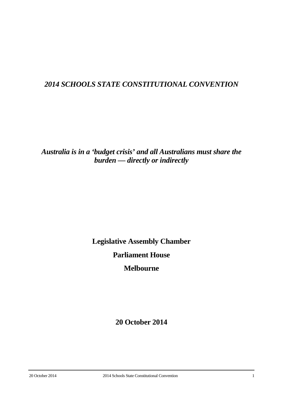# *2014 SCHOOLS STATE CONSTITUTIONAL CONVENTION*

*Australia is in a 'budget crisis' and all Australians must share the burden — directly or indirectly*

> **Legislative Assembly Chamber Parliament House**

> > **Melbourne**

**20 October 2014**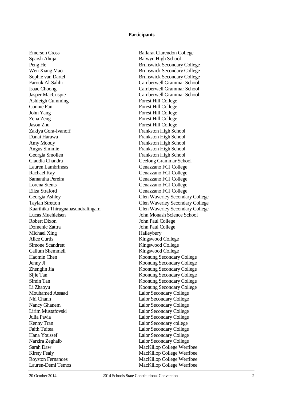### **Participants**

Sparsh Ahuja Balwyn High School Peng He Brunswick Secondary College Wen Xiang Mao **Brunswick Secondary College** Sophie van Dartel Brunswick Secondary College Farouk Al-Salihi Camberwell Grammar School Isaac Choong Camberwell Grammar School Jasper MacCuspie Camberwell Grammar School Ashleigh Cumming Forest Hill College Connie Fan Forest Hill College John Yang Forest Hill College Zena Zeng Forest Hill College Zakiya Gora-Ivanoff Frankston High School Danai Harawa Frankston High School Amy Moody Frankston High School Angus Simmie Frankston High School Georgia Smollen<br>Claudia Chandra Frankston High School<br>Geelong Grammar Sch Lauren Lambrineas Genazzano FCJ College Rachael Kay Genazzano FCJ College Samantha Pereira Genazzano FCJ College Lorena Stents Genazzano FCJ College Eliza Straford Genazzano FCJ College Georgia Ashley Glen Waverley Secondary College Taylah Stretton<br>
Kaarthika Thirugnanasundralingam<br>
Glen Waverley Secondary College Kaarthika Thirugnanasundralingam Lucas Muehleisen John Monash Science School Robert Dixon John Paul College Domenic Zattra John Paul College Michael Xing Haileybury Alice Curtis Kingswood College Simone Scandrett Kingswood College Callum Shemmell<br>
Haomin Chen<br>
Koonung Secondary Jenny Ji Koonung Secondary College Zhenglin Jia Koonung Secondary College Sijie Tan Koonung Secondary College Simin Tan Koonung Secondary College Li Zhaoyu Koonung Secondary College Mouhamed Assaad Lalor Secondary College<br>
Nhi Chanh<br>
Lalor Secondary College Nancy Ghanem Lalor Secondary College<br>
Lalor Secondary College<br>
Lalor Secondary College Julia Pavia Lalor Secondary College Kenny Tran Lalor Secondary college Faith Tuitea Lalor Secondary College Hana Youssef Lalor Secondary College Narzira Zeghaib Lalor Secondary College Sarah Daw MacKillop College Werribee Kirsty Fealy MacKillop College Werribee Royston Fernandes MacKillop College Werribee

Emerson Cross Ballarat Clarendon College Forest Hill College Geelong Grammar School Koonung Secondary College Lalor Secondary College Lalor Secondary College Lauren-Demi Temos MacKillop College Werribee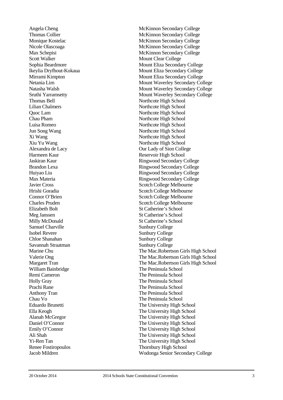Scott Walker Mount Clear College Ikeylia Dryfhout-Kokaua Thomas Bell Northcote High School Lilian Chalmers Northcote High School Quoc Lam Northcote High School Chau Pham Northcote High School Luisa Romeo Northcote High School Jun Song Wang Northcote High School Xi Wang Northcote High School Xiu Yu Wang Northcote High School<br>Alexandra de Lacy 0ur Lady of Sion Colle Harmeen Kaur Reservoir High School<br>Laskiran Kaur Ringwood Secondary (Ringwood Secondary Ringwood Secondary (Ringwood Secondary (Ringwood Secondary ( Elizabeth Bolt St Catherine's School Meg Janssen St Catherine's School Milly McDonald St Catherine's School Samuel Charville Sunbury College Isobel Revere Sunbury College Chloe Shanahan Sunbury College Savannah Straatman Sunbury College William Bainbridge The Peninsula School Remi Cameron The Peninsula School Holly Gray The Peninsula School Prachi Rane The Peninsula School Anthony Tran The Peninsula School<br>
Chau Vo<br>
The Peninsula School **Yi-Ren** Tan Renee Fostiropoulos Thornbury High School

Angela Cheng McKinnon Secondary College Thomas Collier Thomas College and Thomas College and McKinnon Secondary College Monique Kostelac McKinnon Secondary College Nicole Olascoaga McKinnon Secondary College Max Schepisi McKinnon Secondary College Sophia Beardmore Mount Eliza Secondary College Mount Eliza Secondary College Mirrami Kimpton Mount Eliza Secondary College Netania Lim **Mount Waverley Secondary College** Natasha Walsh Mount Waverley Secondary College Sruthi Yarramsetty Mount Waverley Secondary College Our Lady of Sion College Ringwood Secondary College Brandon Lexa Ringwood Secondary College Huiyao Liu Ringwood Secondary College Max Materia **Ringwood Secondary College** Javier Cross Scotch College Melbourne Hrishi Goradia Scotch College Melbourne Connor O'Brien Scotch College Melbourne Charles Pruden Scotch College Melbourne Marine Chu The Mac.Robertson Girls High School<br>
Valerie Ong The Mac.Robertson Girls High School The Mac.Robertson Girls High School Margaret Tran The Mac.Robertson Girls High School The Peninsula School Eduardo Brunetti<br>
Ella Keogh<br>
The University High School<br>
The University High School<br>
The University High School The University High School Alanah McGregor The University High School Daniel O'Connor The University High School Emily O'Connor The University High School Ali Shah The University High School The University High School Jacob Mildren Wodonga Senior Secondary College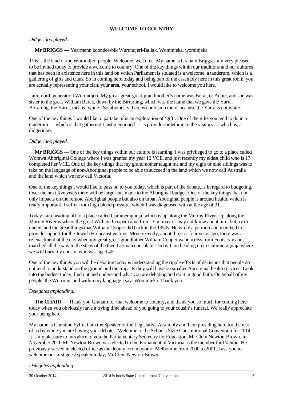# **WELCOME TO COUNTRY**

### *Didgeridoo played.*

**Mr BRIGGS** — Yearmenn koondee-bik Wurundjeri-Ballak. Wominjeka, wominjeka.

This is the land of the Wurundjeri people. Welcome, welcome. My name is Graham Briggs. I am very pleased to be invited today to provide a welcome to country. One of the key things within our traditions and our cultures that has been in existence here in this land on which Parliament is situated is a welcome, a tanderum, which is a gathering of gifts and clans. So in coming here today and being part of the assembly here in this great room, you are actually representing your clan, your area, your school. I would like to welcome you here.

I am fourth generation Wurundjeri. My great-great-great-grandmother's name was Borat, or Annie, and she was sister to the great William Barak, down by the Birrarung, which was the name that we gave the Yarra. Birrarung, the Yarra, means 'white'. So obviously there is confusion there, because the Yarra is not white.

One of the key things I would like to partake of is an exploration of 'gift'. One of the gifts you tend to do in a tanderum — which is that gathering I just mentioned — is provide something to the visitors — which is, a didgeridoo.

### *Didgeridoo played.*

**Mr BRIGGS** — One of the key things within our culture is learning. I was privileged to go to a place called Worawa Aboriginal College where I was granted my year 12 VCE, and just recently my eldest child who is 17 completed her VCE. One of the key things that my grandmother taught me and my eight or nine siblings was to take on the language of non-Aboriginal people to be able to succeed in the land which we now call Australia and the land which we now call Victoria.

One of the key things I would like to pass on to you today, which is part of the debate, is in regard to budgeting. Over the next five years there will be large cuts made to the Aboriginal budget. One of the key things that not only impacts on the remote Aboriginal people but also on urban Aboriginal people is around health, which is really important. I suffer from high blood pressure, which I was diagnosed with at the age of 31.

Today I am heading off to a place called Cummeragunja, which is up along the Murray River. Up along the Murray River is where the great William Cooper came from. You may or may not know about him, but try to understand the great things that William Cooper did back in the 1950s. He wrote a petition and marched to provide support for the Jewish Holocaust victims. More recently, about three or four years ago, there was a re-enactment of the day when my great-great-grandfather William Cooper went across from Footscray and marched all the way to the steps of the then German consulate. Today I am heading up to Cummeragunja where we will bury my cousin, who was aged 45.

One of the key things you will be debating today is understanding the ripple effects of decisions that people do not tend to understand on the ground and the impacts they will have on smaller Aboriginal health services. Look into the budget today, find out and understand what you are debating and do it in good faith. On behalf of my people, the Wurrung, and within my language I say: Wominjeka. Thank you.

### *Delegates applauding.*

**The CHAIR** — Thank you Graham for that welcome to country, and thank you so much for coming here today when you obviously have a trying time ahead of you going to your cousin's funeral. We really appreciate your being here.

My name is Christine Fyffe. I am the Speaker of the Legislative Assembly and I am presiding here for the rest of today while you are having your debates. Welcome to the Schools State Constitutional Convention for 2014. It is my pleasure to introduce to you the Parliamentary Secretary for Education, Mr Clem Newton-Brown. In November 2010 Mr Newton-Brown was elected to the Parliament of Victoria as the member for Prahran. He previously served in elected office as the deputy lord mayor of Melbourne from 2000 to 2001. I ask you to welcome our first guest speaker today, Mr Clem Newton-Brown.

### *Delegates applauding.*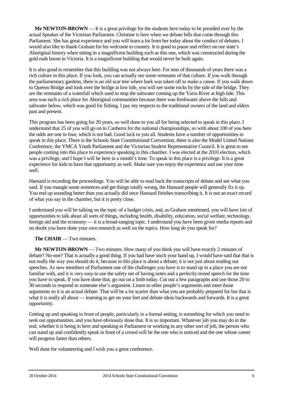**Mr NEWTON-BROWN** — It is a great privilege for the students here today to be presided over by the actual Speaker of the Victorian Parliament. Christine is here when we debate bills that come through this Parliament. She has great experience and you will learn a lot from her today about the conduct of debates. I would also like to thank Graham for his welcome to country. It is good to pause and reflect on our state's Aboriginal history when sitting in a magnificent building such as this one, which was constructed during the gold rush boom in Victoria. It is a magnificent building that would never be built again.

It is also good to remember that this building was not always here. For tens of thousands of years there was a rich culture in this place. If you look, you can actually see some remnants of that culture. If you walk through the parliamentary gardens, there is an old scar tree where bark was taken off to make a canoe. If you walk down to Queens Bridge and look over the bridge at low tide, you will see some rocks by the side of the bridge. They are the remnants of a waterfall which used to stop the saltwater coming up the Yarra River at high tide. This area was such a rich place for Aboriginal communities because there was freshwater above the falls and saltwater below, which was good for fishing. I pay my respects to the traditional owners of the land and elders past and present.

This program has been going for 20 years, so well done to you all for being selected to speak in this place. I understand that 25 of you will go on to Canberra for the national championships, so with about 100 of you here the odds are one in four, which is not bad. Good luck to you all. Students have a number of opportunities to speak in this place. There is the Schools State Constitutional Convention, there is also the Model United Nations Conference, the YMCA Youth Parliament and the Victorian Student Representative Council. It is great to see people coming into this place to experience speaking in this chamber. I was elected at the 2010 election, which was a privilege, and I hope I will be here in a month's time. To speak in this place is a privilege. It is a great experience for kids to have that opportunity as well. Make sure you enjoy the experience and use your time well.

Hansard is recording the proceedings. You will be able to read back the transcripts of debate and see what you said. If you mangle some sentences and get things totally wrong, the Hansard people will generally fix it up. You end up sounding better than you actually did once Hansard finishes transcribing it. It is not an exact record of what you say in the chamber, but it is pretty close.

I understand you will be talking on the topic of a budget crisis, and, as Graham mentioned, you will have lots of opportunities to talk about all sorts of things, including health, disability, education, social welfare, technology, foreign aid and the economy — it is a broad-ranging topic. I understand you have been given media reports and no doubt you have done your own research as well on the topics. How long do you speak for?

# **The CHAIR** — Two minutes.

**Mr NEWTON-BROWN** — Two minutes. How many of you think you will have exactly 2 minutes of debate? No-one? That is actually a good thing. If you had have stuck your hand up, I would have said that that is not really the way you should do it, because in this place is about a debate; it is not just about reading out speeches. As new members of Parliament one of the challenges you have is to stand up in a place you are not familiar with, and it is very easy to use the safety net of having notes and a perfectly-timed speech for the time you have to speak. If you have done that, go out on a limb today. Cut out a few paragraphs and use those 20 to 30 seconds to respond to someone else's argument. Listen to other people's arguments and meet those arguments so it is an actual debate. That will be a lot scarier than what you are probably prepared for but that is what it is really all about — learning to get on your feet and debate ideas backwards and forwards. It is a great opportunity.

Getting up and speaking in front of people, particularly in a formal setting, is something for which you need to seek out opportunities, and you have obviously done that. It is so important. Whatever job you may do in the end, whether it is being in here and speaking in Parliament or working in any other sort of job, the person who can stand up and confidently speak in front of a crowd will be the one who is noticed and the one whose career will progress faster than others.

Well done for volunteering and I wish you a great conference.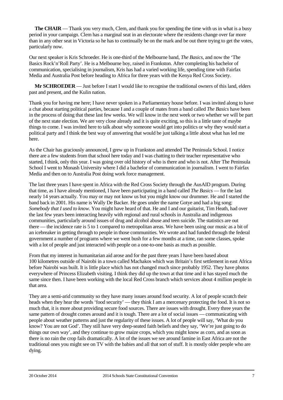**The CHAIR** — Thank you very much, Clem, and thank you for spending the time with us in what is a busy period in your campaign. Clem has a marginal seat in an electorate where the residents change over far more than in any other seat in Victoria so he has to continually be on the mark and be out there trying to get the votes, particularly now.

Our next speaker is Kris Schroeder. He is one-third of the Melbourne band, *The Basics*, and now the 'The Basics Rock'n'Roll Party'. He is a Melbourne boy, raised in Frankston. After completing his bachelor of communication, specialising in journalism, Kris has had a varied working life, spending time with Fairfax Media and Australia Post before heading to Africa for three years with the Kenya Red Cross Society.

**Mr SCHROEDER** — Just before I start I would like to recognise the traditional owners of this land, elders past and present, and the Kulin nation.

Thank you for having me here; I have never spoken in a Parliamentary house before. I was invited along to have a chat about starting political parties, because I and a couple of mates from a band called *The Basics* have been in the process of doing that these last few weeks. We will know in the next week or two whether we will be part of the next state election. We are very close already and it is quite exciting, so this is a little taste of maybe things to come. I was invited here to talk about why someone would get into politics or why they would start a political party and I think the best way of answering that would be just talking a little about what has led me here.

As the Chair has graciously announced, I grew up in Frankston and attended The Peninsula School. I notice there are a few students from that school here today and I was chatting to their teacher representative who started, I think, only this year. I was going over old history of who is there and who is not. After The Peninsula School I went to Monash University where I did a bachelor of communication in journalism. I went to Fairfax Media and then on to Australia Post doing work force management.

The last three years I have spent in Africa with the Red Cross Society through the AusAID program. During that time, as I have already mentioned, I have been participating in a band called *The Basics* — for the last nearly 14 years actually. You may or may not know us but you might know our drummer. He and I started the band back in 2001. His name is Wally De Backer. He goes under the name Gotye and had a big song: *Somebody that I used to know.* You might have heard of that. He and I and our guitarist, Tim Heath, had over the last few years been interacting heavily with regional and rural schools in Australia and indigenous communities, particularly around issues of drug and alcohol abuse and teen suicide. The statistics are out there — the incidence rate is 5 to 1 compared to metropolitan areas. We have been using our music as a bit of an icebreaker in getting through to people in those communities. We wrote and had funded through the federal government a number of programs where we went bush for a few months at a time, ran some classes, spoke with a lot of people and just interacted with people on a one-to-one basis as much as possible.

From that my interest in humanitarian aid arose and for the past three years I have been based about 100 kilometres outside of Nairobi in a town called Machakos which was Britain's first settlement in east Africa before Nairobi was built. It is little place which has not changed much since probably 1952. They have photos everywhere of Princess Elizabeth visiting. I think they did up the town at that time and it has stayed much the same since then. I have been working with the local Red Cross branch which services about 4 million people in that area.

They are a semi-arid community so they have many issues around food security. A lot of people scratch their heads when they hear the words 'food security' — they think I am a mercenary protecting the food. It is not so much that, it is more about providing secure food sources. There are issues with drought. Every three years the same pattern of drought comes around and it is tough. There are a lot of social issues — communicating with people about weather patterns and just the regularity of these issues. A lot of people will say, 'What do you know? You are not God'. They still have very deep-seated faith beliefs and they say, 'We're just going to do things our own way', and they continue to grow maize crops, which you might know as corn, and as soon as there is no rain the crop fails dramatically. A lot of the issues we see around famine in East Africa are not the traditional ones you might see on TV with the babies and all that sort of stuff. It is mostly older people who are dying.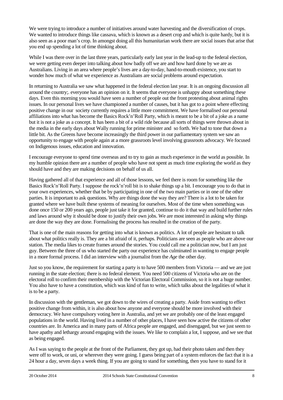We were trying to introduce a number of initiatives around water harvesting and the diversification of crops. We wanted to introduce things like cassava, which is known as a desert crop and which is quite hardy, but it is also seen as a poor man's crop. In amongst doing all this humanitarian work there are social issues that arise that you end up spending a lot of time thinking about.

While I was there over in the last three years, particularly early last year in the lead-up to the federal election, we were getting even deeper into talking about how badly off we are and how hard done by we are as Australians. Living in an area where people's lives are a day-to-day, hand-to-mouth existence, you start to wonder how much of what we experience as Australians are social problems around expectation.

In returning to Australia we saw what happened in the federal election last year. It is an ongoing discussion all around the country;. everyone has an opinion on it. It seems that everyone is unhappy about something these days. Even this morning you would have seen a number of people out the front protesting about animal rights issues. In our personal lives we have championed a number of causes, but it has got to a point where effecting positive change in our society currently requires a little more commitment. We have formalised our personal affiliations into what has become the Basics Rock'n'Roll Party, which is meant to be a bit of a joke as a name but it is not a joke as a concept. It has been a bit of a wild ride because all sorts of things were thrown about in the media in the early days about Wally running for prime minister and so forth. We had to tone that down a little bit. As the Greens have become increasingly the third power in our parliamentary system we saw an opportunity to engage with people again at a more grassroots level involving grassroots advocacy. We focused on Indigenous issues, education and innovation.

I encourage everyone to spend time overseas and to try to gain as much experience in the world as possible. In my humble opinion there are a number of people who have not spent as much time exploring the world as they should have and they are making decisions on behalf of us all.

Having gathered all of that experience and all of those lessons, we feel there is room for something like the Basics Rock'n'Roll Party. I suppose the rock'n'roll bit is to shake things up a bit. I encourage you to do that in your own experiences, whether that be by participating in one of the two main parties or in one of the other parties. It is important to ask questions. Why are things done the way they are? There is a lot to be taken for granted where we have built these systems of meaning for ourselves. Most of the time when something was done once 150 or 200 years ago, people just take it for granted, continue to do it that way and build further rules and laws around why it should be done to justify their own jobs. We are most interested in asking why things are done the way they are done. Formalising the process has resulted in the creation of the party.

That is one of the main reasons for getting into what is known as politics. A lot of people are hesitant to talk about what politics really is. They are a bit afraid of it, perhaps. Politicians are seen as people who are above our station. The media likes to create frames around the stories. You could call me a politician now, but I am just guy. Between the three of us who started the party our experience has culminated in wanting to engage people in a more formal process. I did an interview with a journalist from the *Age* the other day.

Just so you know, the requirement for starting a party is to have 500 members from Victoria — and we are just running in the state election; there is no federal element. You need 500 citizens of Victoria who are on the electoral roll to confirm their membership with the Victorian Electoral Commission, so it is not a huge number. You also have to have a constitution, which was kind of fun to write, which talks about the legalities of what it is to be a party.

In discussion with the gentleman, we got down to the wires of creating a party. Aside from wanting to effect positive change from within, it is also about how anyone and everyone should be more involved with their democracy. We have compulsory voting here in Australia, and yet we are probably one of the least engaged populations in the world. Having lived in a number of other places, I have seen how active the citizens of other countries are. In America and in many parts of Africa people are engaged, and disengaged, but we just seem to have apathy and lethargy around engaging with the issues. We like to complain a lot, I suppose, and we see that as being engaged.

As I was saying to the people at the front of the Parliament, they got up, had their photo taken and then they were off to work, or uni, or wherever they were going. I guess being part of a system enforces the fact that it is a 24 hour a day, seven days a week thing. If you are going to stand for something, then you have to stand for it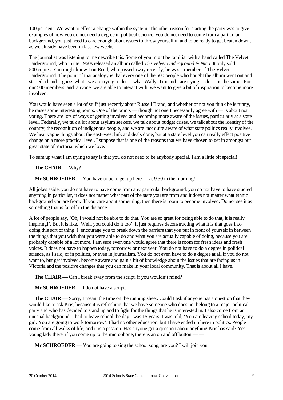100 per cent. We want to effect a change within the system. The other reason for starting the party was to give examples of how you do not need a degree in political science, you do not need to come from a particular background, you just need to care enough about issues to throw yourself in and to be ready to get beaten down, as we already have been in last few weeks.

The journalist was listening to me describe this. Some of you might be familiar with a band called The Velvet Underground, who in the 1960s released an album called *The Velvet Underground & Nico*. It only sold 500 copies. You might know Lou Reed, who passed away recently; he was a member of The Velvet Underground. The point of that analogy is that every one of the 500 people who bought the album went out and started a band. I guess what t we are trying to do — what Wally, Tim and I are trying to do — is the same. For our 500 members, and anyone we are able to interact with, we want to give a bit of inspiration to become more involved.

You would have seen a lot of stuff just recently about Russell Brand, and whether or not you think he is funny, he raises some interesting points. One of the points — though not one I necessarily agree with — is about not voting. There are lots of ways of getting involved and becoming more aware of the issues, particularly at a state level. Federally, we talk a lot about asylum seekers, we talk about budget crises, we talk about the identity of the country, the recognition of indigenous people, and we are not quite aware of what state politics really involves. We hear vague things about the east–west link and deals done, but at a state level you can really effect positive change on a more practical level. I suppose that is one of the reasons that we have chosen to get in amongst our great state of Victoria, which we love.

To sum up what I am trying to say is that you do not need to be anybody special. I am a little bit special!

# **The CHAIR** — Why?

**Mr SCHROEDER** — You have to be to get up here — at 9.30 in the morning!

All jokes aside, you do not have to have come from any particular background, you do not have to have studied anything in particular, it does not matter what part of the state you are from and it does not matter what ethnic background you are from. If you care about something, then there is room to become involved. Do not see it as something that is far off in the distance.

A lot of people say, 'Oh, I would not be able to do that. You are so great for being able to do that, it is really inspiring!'. But it is like, 'Well, you could do it too'. It just requires deconstructing what it is that goes into doing this sort of thing. I encourage you to break down the barriers that you put in front of yourself in between the things that you wish that you were able to do and what you are actually capable of doing, because you are probably capable of a lot more. I am sure everyone would agree that there is room for fresh ideas and fresh voices. It does not have to happen today, tomorrow or next year. You do not have to do a degree in political science, as I said, or in politics, or even in journalism. You do not even have to do a degree at all if you do not want to, but get involved, become aware and gain a bit of knowledge about the issues that are facing us in Victoria and the positive changes that you can make in your local community. That is about all I have.

**The CHAIR** — Can I break away from the script, if you wouldn't mind?

**Mr SCHROEDER** — I do not have a script.

**The CHAIR** — Sorry, I meant the time on the running sheet. Could I ask if anyone has a question that they would like to ask Kris, because it is refreshing that we have someone who does not belong to a major political party and who has decided to stand up and to fight for the things that he is interested in. I also come from an unusual background: I had to leave school the day I was 15 years. I was told, 'You are leaving school today, my girl. You are going to work tomorrow'. I had no other education, but I have ended up here in politics. People come from all walks of life, and it is a passion. Has anyone got a question about anything Kris has said? Yes, young lady there, if you come up to the microphone, there is an on and off button –

**Mr SCHROEDER** — You are going to sing the school song, are you? I will join you.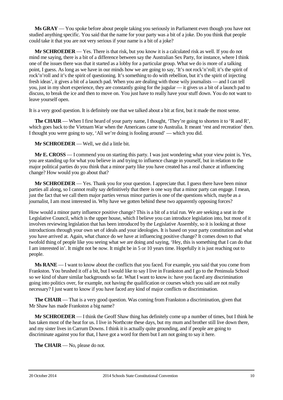**Ms GRAY** — You spoke before about people taking you seriously in Parliament even though you have not studied anything specific. You said that the name for your party was a bit of a joke. Do you think that people could take it that you are not very serious if your name is a bit of a joke?

**Mr SCHROEDER** — Yes. There is that risk, but you know it is a calculated risk as well. If you do not mind me saying, there is a bit of a difference between say the Australian Sex Party, for instance, where I think one of the issues there was that it started as a lobby for a particular group. What we do is more of a talking point, I guess. As long as we have in our minds how we are going to say, 'It's not rock'n'roll; it's the spirit of rock'n'roll and it's the spirit of questioning. It's something to do with rebellion, but it's the spirit of injecting fresh ideas', it gives a bit of a launch pad. When you are dealing with those wily journalists — and I can tell you, just in my short experience, they are constantly going for the jugular — it gives us a bit of a launch pad to discuss, to break the ice and then to move on. You just have to really have your stuff down. You do not want to leave yourself open.

It is a very good question. It is definitely one that we talked about a bit at first, but it made the most sense.

**The CHAIR** — When I first heard of your party name, I thought, 'They're going to shorten it to 'R and R', which goes back to the Vietnam War when the Americans came to Australia. It meant 'rest and recreation' then. I thought you were going to say, 'All we're doing is fooling around' — which you did.

**Mr SCHROEDER** — Well, we did a little bit.

**Mr E. CROSS** — I commend you on starting this party. I was just wondering what your view point is. Yes, you are standing up for what you believe in and trying to influence change in yourself, but in relation to the major political parties do you think that a minor party like you have created has a real chance at influencing change? How would you go about that?

**Mr SCHROEDER** — Yes. Thank you for your question. I appreciate that. I guess there have been minor parties all along, so I cannot really say definitively that there is one way that a minor party can engage. I mean, just the fact that we call them major parties versus minor parties is one of the questions which, maybe as a journalist, I am most interested in. Why have we gotten behind these two apparently opposing forces?

How would a minor party influence positive change? This is a bit of a trial run. We are seeking a seat in the Legislative Council, which is the upper house, which I believe you can introduce legislation into, but most of it involves reviewing legislation that has been introduced by the Legislative Assembly, so it is looking at those introductions through your own set of ideals and your ideologies. It is based on your party constitution and what you have arrived at. Again, what chance do we have at influencing positive change? It comes down to that twofold thing of people like you seeing what we are doing and saying, 'Hey, this is something that I can do that I am interested in'. It might not be now. It might be in 5 or 10 years time. Hopefully it is just reaching out to people.

**Ms RANE** — I want to know about the conflicts that you faced. For example, you said that you come from Frankston. You brushed it off a bit, but I would like to say I live in Frankston and I go to the Peninsula School so we kind of share similar backgrounds so far. What I want to know is: have you faced any discrimination going into politics over, for example, not having the qualification or courses which you said are not really necessary? I just want to know if you have faced any kind of major conflicts or discrimination.

**The CHAIR** — That is a very good question. Was coming from Frankston a discrimination, given that Mr Shaw has made Frankston a big name?

**Mr SCHROEDER** — I think the Geoff Shaw thing has definitely come up a number of times, but I think he has taken most of the heat for us. I live in Northcote these days, but my mum and brother still live down there, and my sister lives in Carrum Downs. I think it is actually quite grounding, and if people are going to discriminate against you for that, I have got a word for them but I am not going to say it here.

**The CHAIR** — No, please do not.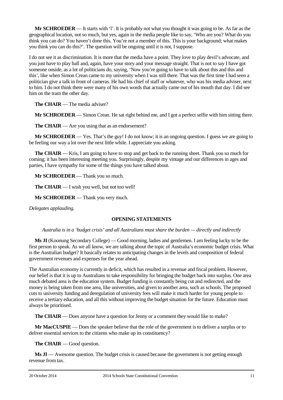**Mr SCHROEDER** — It starts with 'l'. It is probably not what you thought it was going to be. As far as the geographical location, not so much, but yes, again in the media people like to say, 'Who are you? What do you think you can do? You haven't done this. You're not a member of this. This is your background; what makes you think you can do this?'. The question will be ongoing until it is not, I suppose.

I do not see it as discrimination. It is more that the media have a point. They love to play devil's advocate, and you just have to play ball and, again, have your story and your message straight. That is not to say I have got someone onside, as a lot of politicians do, saying, 'Now you're going to have to talk about this and this and this', like when Simon Crean came to my university when I was still there. That was the first time I had seen a politician give a talk in front of cameras. He had his chief of staff or whatever, who was his media adviser, next to him. I do not think there were many of his own words that actually came out of his mouth that day. I did see him on the tram the other day.

**The CHAIR** — The media adviser?

**Mr SCHROEDER** — Simon Crean. He sat right behind me, and I got a perfect selfie with him sitting there.

**The CHAIR** — Are you using that as an endorsement?

**Mr SCHROEDER** — Yes. That's the guy! I do not know; it is an ongoing question. I guess we are going to be feeling our way a lot over the next little while. I appreciate you asking.

**The CHAIR** — Kris, I am going to have to stop and get back to the running sheet. Thank you so much for coming; it has been interesting meeting you. Surprisingly, despite my vintage and our differences in ages and parties, I have sympathy for some of the things you have talked about.

**Mr SCHROEDER** — Thank you so much.

**The CHAIR** — I wish you well, but not too well!

**Mr SCHROEDER** — Thank you very much.

*Delegates applauding.*

# **OPENING STATEMENTS**

*Australia is in a 'budget crisis' and all Australians must share the burden — directly and indirectly*

**Ms JI** (Koonung Secondary College) — Good morning, ladies and gentlemen. I am feeling lucky to be the first person to speak. As we all know, we are talking about the topic of Australia's economic budget crisis. What is the Australian budget? It basically relates to anticipating changes in the levels and composition of federal government revenues and expenses for the year ahead.

The Australian economy is currently in deficit, which has resulted in a revenue and fiscal problem. However, our belief is that it is up to Australians to take responsibility for bringing the budget back into surplus. One area much debated area is the education system. Budget funding is constantly being cut and redirected, and the money is being taken from one area, like universities, and given to another area, such as schools. The proposed cuts to university funding and deregulation of university fees will make it much harder for young people to receive a tertiary education, and all this without improving the budget situation for the future. Education must always be prioritised.

**The CHAIR** — Does anyone have a question for Jenny or a comment they would like to make?

**Mr MacCUSPIE** — Does the speaker believe that the role of the government is to deliver a surplus or to deliver essential services to the citizens who make up its constituency?

**The CHAIR** — Good question.

**Ms JI** — Awesome question. The budget crisis is caused because the government is not getting enough revenue from tax.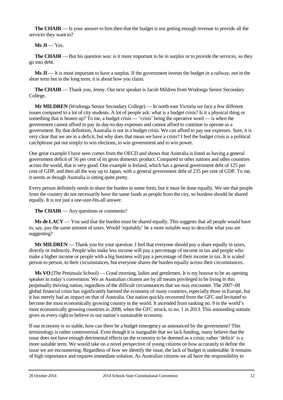**The CHAIR** — Is your answer to him then that the budget is not getting enough revenue to provide all the services they want to?

# $Ms$   $\overline{J}I$  — Yes.

**The <b>CHAIR** — But his question was: is it more important to be in surplus or to provide the services, so they go into debt.

**Ms JI** — It is most important to have a surplus. If the government invests the budget in a railway, not in the short term but in the long term, it is about how you claim.

**The CHAIR** — Thank you, Jenny. Our next speaker is Jacob Mildren from Wodonga Senior Secondary College.

**Mr MILDREN** (Wodonga Senior Secondary College) — In north-east Victoria we face a few different issues compared to a lot of city students. A lot of people ask: what is a budget crisis? Is it a physical thing or something that is beaten up? To me, a budget crisis — 'crisis' being the operative word — is when the government cannot afford to pay its day-to-day expenses and cannot afford to continue to operate as a government. By that definition, Australia is not in a budget crisis. We can afford to pay our expenses. Sure, it is very clear that we are in a deficit, but why does that mean we have a crisis? I feel the budget crisis is a political catchphrase put out simply to win elections, to win government and to win power.

One great example I have seen comes from the OECD and shows that Australia is listed as having a general government deficit of 56 per cent of its gross domestic product. Compared to other nations and other countries across the world, that is very good. One example is Ireland, which has a general government debt of 125 per cent of GDP, and then all the way up to Japan, with a general government debt of 235 per cent of GDP. To me, it seems as though Australia is sitting quite pretty.

Every person definitely needs to share the burden in some form, but it must be done equally. We see that people from the country do not necessarily have the same funds as people from the city, so burdens should be shared equally. It is not just a one-size-fits-all answer.

**The CHAIR** — Any questions or comments?

**Ms de LACY** — You said that the burden must be shared equally. This suggests that all people would have to, say, pay the same amount of taxes. Would 'equitably' be a more suitable way to describe what you are suggesting?

**Mr MILDREN** — Thank you for your question. I feel that everyone should pay a share equally in taxes, directly or indirectly. People who make less income will pay a percentage of income in tax and people who make a higher income or people with a big business will pay a percentage of their income in tax. It is scaled person to person, to their circumstances, but everyone shares the burden equally across their circumstances.

**Ms VO** (The Peninsula School) — Good morning, ladies and gentlemen. It is my honour to be an opening speaker in today's convention. We as Australian citizens are by all means privileged to be living in this perpetually thriving nation, regardless of the difficult circumstances that we may encounter. The 2007–08 global financial crisis has significantly harmed the economy of many countries, especially those in Europe, but it has merely had an impact on that of Australia. Our nation quickly recovered from the GFC and levitated to become the most economically growing country in the world. It ascended from ranking no. 9 in the world's most economically growing countries in 2008, when the GFC struck, to no. 1 in 2013. This astounding statistic gives us every right to believe in our nation's sustainable economy.

If our economy is so stable, how can there be a budget emergency as announced by the government? This terminology is rather controversial. Even though it is inarguable that we lack funding, many believe that the issue does not have enough detrimental effects on the economy to be deemed as a crisis; rather 'deficit' is a more suitable term. We would take on a novel perspective of young citizens on how accurately to define the issue we are encountering. Regardless of how we identify the issue, the lack of budget is undeniable. It remains of high importance and requires immediate solution. As Australian citizens we all have the responsibility to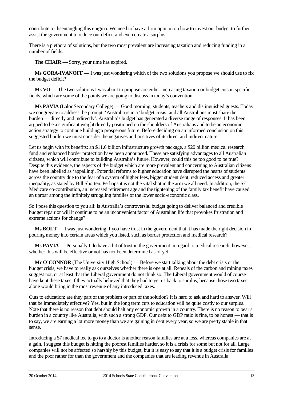contribute to disentangling this enigma. We need to have a firm opinion on how to invest our budget to further assist the government to reduce our deficit and even create a surplus.

There is a plethora of solutions, but the two most prevalent are increasing taxation and reducing funding in a number of fields.

**The CHAIR** — Sorry, your time has expired.

**Ms GORA-IVANOFF** — I was just wondering which of the two solutions you propose we should use to fix the budget deficit?

**Ms VO** — The two solutions I was about to propose are either increasing taxation or budget cuts in specific fields, which are some of the points we are going to discuss in today's convention.

**Ms PAVIA** (Lalor Secondary College) — Good morning, students, teachers and distinguished guests. Today we congregate to address the prompt, 'Australia is in a 'budget crisis' and all Australians must share the burden — directly and indirectly'. Australia's budget has generated a diverse range of responses. It has been argued to be a significant weight directly positioned on the shoulders of Australians and to be an economic action strategy to continue building a prosperous future. Before deciding on an informed conclusion on this suggested burden we must consider the negatives and positives of its direct and indirect nature.

Let us begin with its benefits: an \$11.6 billion infrastructure growth package, a \$20 billion medical research fund and enhanced border protection have been announced. These are satisfying advantages to all Australian citizens, which will contribute to building Australia's future. However, could this be too good to be true? Despite this evidence, the aspects of the budget which are more prevalent and concerning to Australian citizens have been labelled as 'appalling'. Potential reforms to higher education have disrupted the hearts of students across the country due to the fear of a system of higher fees, bigger student debt, reduced access and greater inequality, as stated by Bill Shorten. Perhaps it is not the vital shot in the arm we all need. In addition, the \$7 Medicare co-contribution, an increased retirement age and the tightening of the family tax benefit have caused an uproar among the infinitely struggling families of the lower socio-economic class.

So I pose this question to you all: is Australia's controversial budget going to deliver balanced and credible budget repair or will it continue to be an inconvenient factor of Australian life that provokes frustration and extreme actions for change?

**Ms BOLT** — I was just wondering if you have trust in the government that it has made the right decision in pouring money into certain areas which you listed, such as border protection and medical research?

**Ms PAVIA** — Personally I do have a bit of trust in the government in regard to medical research; however, whether this will be effective or not has not been determined as of yet.

**Mr O'CONNOR** (The University High School) — Before we start talking about the debt crisis or the budget crisis, we have to really ask ourselves whether there is one at all. Repeals of the carbon and mining taxes suggest not, or at least that the Liberal government do not think so. The Liberal government would of course have kept these taxes if they actually believed that they had to get us back to surplus, because those two taxes alone would bring in the most revenue of any introduced taxes.

Cuts to education: are they part of the problem or part of the solution? It is hard to ask and hard to answer. Will that be immediately effective? Yes, but in the long term cuts to education will be quite costly to our surplus. Note that there is no reason that debt should halt any economic growth in a country. There is no reason to bear a burden in a country like Australia, with such a strong GDP. Our debt to GDP ratio is fine, to be honest — that is to say, we are earning a lot more money than we are gaining in debt every year, so we are pretty stable in that sense.

Introducing a \$7 medical fee to go to a doctor is another reason families are at a loss, whereas companies are at a gain. I suggest this budget is hitting the poorest families harder, so it is a crisis for some but not for all. Large companies will not be affected so harshly by this budget, but it is easy to say that it is a budget crisis for families and the poor rather for than the government and the companies that are leading revenue in Australia.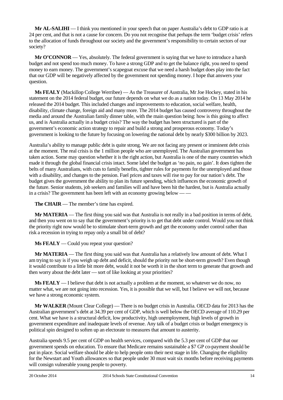**Mr AL-SALIHI** — I think you mentioned in your speech that on paper Australia's debt to GDP ratio is at 24 per cent, and that is not a cause for concern. Do you not recognise that perhaps the term 'budget crisis' refers to the allocation of funds throughout our society and the government's responsibility to certain sectors of our society?

**Mr O'CONNOR** — Yes, absolutely. The federal government is saying that we have to introduce a harsh budget and not spend too much money. To have a strong GDP and to get the balance right, you need to spend money to earn money. The government's scapegoat excuse that we need a harsh budget does play into the fact that our GDP will be negatively affected by the government not spending money. I hope that answers your question.

**Ms FEALY** (Mackillop College Werribee) — As the Treasurer of Australia, Mr Joe Hockey, stated in his statement on the 2014 federal budget, our future depends on what we do as a nation today. On 13 May 2014 he released the 2014 budget. This included changes and improvements to education, social welfare, health, disability, climate change, foreign aid and many more. The 2014 budget has caused controversy throughout the media and around the Australian family dinner table, with the main question being: how is this going to affect us, and is Australia actually in a budget crisis? The way the budget has been structured is part of the government's economic action strategy to repair and build a strong and prosperous economy. Today's government is looking to the future by focusing on lowering the national debt by nearly \$300 billion by 2023.

Australia's ability to manage public debt is quite strong. We are not facing any present or imminent debt crisis at the moment. The real crisis is the 1 million people who are unemployed. The Australian government has taken action. Some may question whether it is the right action, but Australia is one of the many countries which made it through the global financial crisis intact. Some label the budget as 'no pain, no gain'. It does tighten the belts of many Australians, with cuts to family benefits, tighter rules for payments for the unemployed and those with a disability, and changes to the pension. Fuel prices and taxes will rise to pay for our nation's debt. The budget gives the government the ability to plan its future spending, which influences the economic growth of the future. Senior students, job seekers and families will and have been hit the hardest, but is Australia actually in a crisis? The government has been left with an economy growing below — —

**The CHAIR** — The member's time has expired.

**Mr MATERIA** — The first thing you said was that Australia is not really in a bad position in terms of debt, and then you went on to say that the government's priority is to get that debt under control. Would you not think the priority right now would be to stimulate short-term growth and get the economy under control rather than risk a recession in trying to repay only a small bit of debt?

**Ms FEALY** — Could you repeat your question?

**Mr MATERIA** — The first thing you said was that Australia has a relatively low amount of debt. What I am trying to say is if you weigh up debt and deficit, should the priority not be short-term growth? Even though it would contribute to a little bit more debt, would it not be worth it in the short term to generate that growth and then worry about the debt later — sort of like looking at your priorities?

**Ms FEALY** — I believe that debt is not actually a problem at the moment, so whatever we do now, no matter what, we are not going into recession. Yes, it is possible that we will, but I believe we will not, because we have a strong economic system.

**Mr WALKER** (Mount Clear College) — There is no budget crisis in Australia. OECD data for 2013 has the Australian government's debt at 34.39 per cent of GDP, which is well below the OECD average of 110.29 per cent. What we have is a structural deficit, low productivity, high unemployment, high levels of growth in government expenditure and inadequate levels of revenue. Any talk of a budget crisis or budget emergency is political spin designed to soften up an electorate to measures that amount to austerity.

Australia spends 9.5 per cent of GDP on health services, compared with the 5.3 per cent of GDP that our government spends on education. To ensure that Medicare remains sustainable a \$7 GP co-payment should be put in place. Social welfare should be able to help people onto their next stage in life. Changing the eligibility for the Newstart and Youth allowances so that people under 30 must wait six months before receiving payments will consign vulnerable young people to poverty.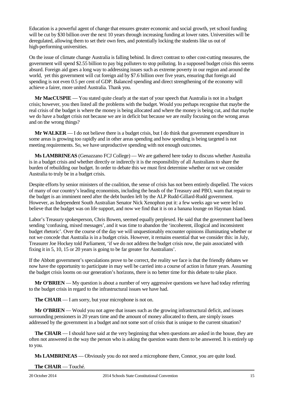Education is a powerful agent of change that ensures greater economic and social growth, yet school funding will be cut by \$30 billion over the next 10 years through increasing funding at lower rates. Universities will be deregulated, allowing them to set their own fees, and potentially locking the students like us out of high-performing universities.

On the issue of climate change Australia is falling behind. In direct contrast to other cost-cutting measures, the government will spend \$2.55 billion to pay big polluters to stop polluting. In a supposed budget crisis this seems absurd. Foreign aid goes a long way to addressing issues such as extreme poverty in our region and around the world, yet this government will cut foreign aid by \$7.6 billion over five years, ensuring that foreign aid spending is not even 0.5 per cent of GDP. Balanced spending and direct strengthening of the economy will achieve a fairer, more united Australia. Thank you.

**Mr MacCUSPIE** — You stated quite clearly at the start of your speech that Australia is not in a budget crisis; however, you then listed all the problems with the budget. Would you perhaps recognise that maybe the real crisis of the budget is where the money is being allocated and where the money is being cut, and that maybe we do have a budget crisis not because we are in deficit but because we are really focusing on the wrong areas and on the wrong things?

**Mr WALKER** — I do not believe there is a budget crisis, but I do think that government expenditure in some areas is growing too rapidly and in other areas spending and how spending is being targeted is not meeting requirements. So, we have unproductive spending with not enough outcomes.

**Ms LAMBRINEAS** (Genazzano FCJ College) — We are gathered here today to discuss whether Australia is in a budget crisis and whether directly or indirectly it is the responsibility of all Australians to share the burden of rebuilding our budget. In order to debate this we must first determine whether or not we consider Australia to truly be in a budget crisis.

Despite efforts by senior ministers of the coalition, the sense of crisis has not been entirely dispelled. The voices of many of our country's leading economists, including the heads of the Treasury and PBO, warn that repair to the budget is an imminent need after the debt burden left by the ALP Rudd-Gillard-Rudd government. However, as Independent South Australian Senator Nick Xenophon put it: a few weeks ago we were led to believe that the budget was on life support, and now we find that it is on a banana lounge on Hayman Island.

Labor's Treasury spokesperson, Chris Bowen, seemed equally perplexed. He said that the government had been sending 'confusing, mixed messages', and it was time to abandon the 'incoherent, illogical and inconsistent budget rhetoric'. Over the course of the day we will unquestionably encounter opinions illuminating whether or not we concede that Australia is in a budget crisis. However, it remains essential that we consider this: in July, Treasurer Joe Hockey told Parliament, 'if we do not address the budget crisis now, the pain associated with fixing it in 5, 10, 15 or 20 years is going to be far greater for Australians'.

If the Abbott government's speculations prove to be correct, the reality we face is that the friendly debates we now have the opportunity to participate in may well be carried into a course of action in future years. Assuming the budget crisis looms on our generation's horizons, there is no better time for this debate to take place.

**Mr O'BRIEN** — My question is about a number of very aggressive questions we have had today referring to the budget crisis in regard to the infrastructural issues we have had.

**The CHAIR** — I am sorry, but your microphone is not on.

**Mr O'BRIEN** — Would you not agree that issues such as the growing infrastructural deficit, and issues surrounding pensioners in 20 years time and the amount of money allocated to them, are simply issues addressed by the government in a budget and not some sort of crisis that is unique to the current situation?

**The CHAIR** — I should have said at the very beginning that when questions are asked in the house, they are often not answered in the way the person who is asking the question wants them to be answered. It is entirely up to you.

**Ms LAMBRINEAS** — Obviously you do not need a microphone there, Connor, you are quite loud.

**The CHAIR** — Touché.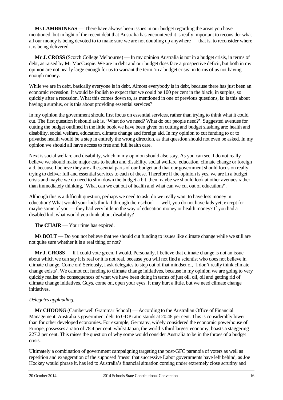**Ms LAMBRINEAS** — There have always been issues in our budget regarding the areas you have mentioned, but in light of the recent debt that Australia has encountered it is really important to reconsider what all our money is being devoted to to make sure we are not doubling up anywhere — that is, to reconsider where it is being delivered.

**Mr J. CROSS** (Scotch College Melbourne) — In my opinion Australia is not in a budget crisis, in terms of debt, as raised by Mr MacCuspie. We are in debt and our budget does face a prospective deficit, but both in my opinion are not nearly large enough for us to warrant the term 'in a budget crisis' in terms of us not having enough money.

While we are in debt, basically everyone is in debt. Almost everybody is in debt, because there has just been an economic recession. It would be foolish to expect that we could be 100 per cent in the black, in surplus, so quickly after a recession. What this comes down to, as mentioned in one of previous questions, is: is this about having a surplus, or is this about providing essential services?

In my opinion the government should first focus on essential services, rather than trying to think what it could cut. The first question it should ask is, 'What do we need? What do our people need?'. Suggested avenues for cutting the budget outlined in the little book we have been given on cutting and budget slashing are: health and disability, social welfare, education, climate change and foreign aid. In my opinion to cut funding to or to privatise health would be a step in entirely the wrong direction, as that question should not even be asked. In my opinion we should all have access to free and full health care.

Next is social welfare and disability, which in my opinion should also stay. As you can see, I do not really believe we should make major cuts to health and disability, social welfare, education, climate change or foreign aid, because I believe they are all essential parts of our budget and that our government should focus on really trying to deliver full and essential services to each of these. Therefore if the opinion is yes, we are in a budget crisis and maybe we do need to slim down the budget a bit, then maybe we should look at other avenues rather than immediately thinking, 'What can we cut out of health and what can we cut out of education?'.

Although this is a difficult question, perhaps we need to ask: do we really want to have less money in education? What would your kids think if through their school — well, you do not have kids yet; except for maybe some of you — they had very little in the way of education money or health money? If you had a disabled kid, what would you think about disability?

**The CHAIR** — Your time has expired.

**Ms BOLT** — Do you not believe that we should cut funding to issues like climate change while we still are not quite sure whether it is a real thing or not?

**Mr J. CROSS** — If I could vote green, I would. Personally, I believe that climate change is not an issue about which we can say it is real or it is not real, because you will not find a scientist who does not believe in climate change. Come on! Seriously, I ask delegates to step out of that mindset of, 'I don't really think climate change exists'. We cannot cut funding to climate change initiatives, because in my opinion we are going to very quickly realise the consequences of what we have been doing in terms of just oil, oil, oil and getting rid of climate change initiatives. Guys, come on, open your eyes. It may hurt a little, but we need climate change initiatives.

# *Delegates applauding.*

**Mr CHOONG** (Camberwell Grammar School) — According to the Australian Office of Financial Management, Australia's government debt to GDP ratio stands at 20.48 per cent. This is considerably lower than for other developed economies. For example, Germany, widely considered the economic powerhouse of Europe, possesses a ratio of 78.4 per cent, whilst Japan, the world's third largest economy, boasts a staggering 227.2 per cent. This raises the question of why some would consider Australia to be in the throes of a budget crisis.

Ultimately a combination of government campaigning targeting the post-GFC paranoia of voters as well as repetition and exaggeration of the supposed 'mess' that successive Labor governments have left behind, as Joe Hockey would phrase it, has led to Australia's financial situation coming under extremely close scrutiny and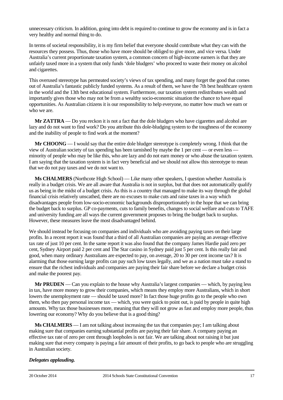unnecessary criticism. In addition, going into debt is required to continue to grow the economy and is in fact a very healthy and normal thing to do.

In terms of societal responsibility, it is my firm belief that everyone should contribute what they can with the resources they possess. Thus, those who have more should be obliged to give more, and vice versa. Under Australia's current proportionate taxation system, a common concern of high-income earners is that they are unfairly taxed more in a system that only funds 'dole bludgers' who proceed to waste their money on alcohol and cigarettes.

This overused stereotype has permeated society's views of tax spending, and many forget the good that comes out of Australia's fantastic publicly funded systems. As a result of them, we have the 7th best healthcare system in the world and the 13th best educational system. Furthermore, our taxation system redistributes wealth and importantly gives those who may not be from a wealthy socio-economic situation the chance to have equal opportunities. As Australian citizens it is our responsibility to help everyone, no matter how much we earn or who we are.

**Mr ZATTRA** — Do you reckon it is not a fact that the dole bludgers who have cigarettes and alcohol are lazy and do not want to find work? Do you attribute this dole-bludging system to the toughness of the economy and the inability of people to find work at the moment?

**Mr CHOONG** — I would say that the entire dole bludger stereotype is completely wrong. I think that the view of Australian society of tax spending has been tarnished by maybe the 1 per cent — or even less minority of people who may be like this, who are lazy and do not earn money or who abuse the taxation system. I am saying that the taxation system is in fact very beneficial and we should not allow this stereotype to mean that we do not pay taxes and we do not want to.

**Ms CHALMERS** (Northcote High School) — Like many other speakers, I question whether Australia is really in a budget crisis. We are all aware that Australia is not in surplus, but that does not automatically qualify us as being in the midst of a budget crisis. As this is a country that managed to make its way through the global financial crisis relatively unscathed, there are no excuses to make cuts and raise taxes in a way which disadvantages people from low-socio-economic backgrounds disproportionately in the hope that we can bring the budget back to surplus. GP co-payments, cuts to family benefits, changes to social welfare and cuts to TAFE and university funding are all ways the current government proposes to bring the budget back to surplus. However, these measures leave the most disadvantaged behind.

We should instead be focusing on companies and individuals who are avoiding paying taxes on their large profits. In a recent report it was found that a third of all Australian companies are paying an average effective tax rate of just 10 per cent. In the same report it was also found that the company James Hardie paid zero per cent, Sydney Airport paid 2 per cent and The Star casino in Sydney paid just 5 per cent. Is this really fair and good, when many ordinary Australians are expected to pay, on average, 20 to 30 per cent income tax? It is alarming that those earning large profits can pay such low taxes legally, and we as a nation must take a stand to ensure that the richest individuals and companies are paying their fair share before we declare a budget crisis and make the poorest pay.

**Mr PRUDEN** — Can you explain to the house why Australia's largest companies — which, by paying less in tax, have more money to grow their companies, which means they employ more Australians, which in short lowers the unemployment rate — should be taxed more? In fact those huge profits go to the people who own them, who then pay personal income tax — which, you were quick to point out, is paid by people in quite high amounts. Why tax those businesses more, meaning that they will not grow as fast and employ more people, thus lowering our economy? Why do you believe that is a good thing?

**Ms CHALMERS** — I am not talking about increasing the tax that companies pay; I am talking about making sure that companies earning substantial profits are paying their fair share. A company paying an effective tax rate of zero per cent through loopholes is not fair. We are talking about not raising it but just making sure that every company is paying a fair amount of their profits, to go back to people who are struggling in Australian society.

# *Delegates applauding.*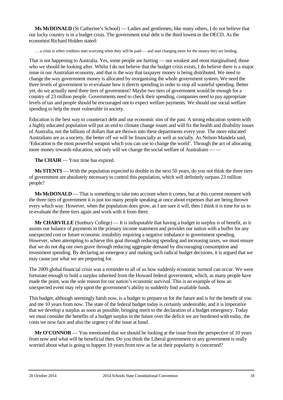**Ms McDONALD** (St Catherine's School) — Ladies and gentlemen, like many others, I do not believe that our lucky country is in a budget crisis. The government total debt is the third lowest in the OECD. As the economist Richard Holden stated:

… a crisis is when creditors start worrying when they will be paid — and start charging more for the money they are lending.

That is not happening to Australia. Yes, some people are hurting — our weakest and most marginalised, those who we should be looking after. Whilst I do not believe that the budget crisis exists, I do believe there is a major issue in our Australian economy, and that is the way that taxpayer money is being distributed. We need to change the way government money is allocated by reorganising the whole government system. We need the three levels of government to re-evaluate how it directs spending in order to stop all wasteful spending. Better yet, do we actually need three tiers of government? Maybe two tiers of government would be enough for a country of 23 million people. Governments need to check their spending, companies need to pay appropriate levels of tax and people should be encouraged not to expect welfare payments. We should use social welfare spending to help the most vulnerable in society.

Education is the best way to counteract debt and our economic sins of the past. A strong education system with a highly educated population will put an end to climate change issues and will fix the health and disability issues of Australia, not the billions of dollars that are thrown into these departments every year. The more educated Australians are as a society, the better off we will be financially as well as socially. As Nelson Mandela said, 'Education is the most powerful weapon which you can use to change the world'. Through the act of allocating more money towards education, not only will we change the social welfare of Australians — —

**The CHAIR** — Your time has expired.

**Ms STENTS** — With the population expected to double in the next 50 years, do you not think the three tiers of government are absolutely necessary to control this population, which will definitely surpass 23 million people?

**Ms McDONALD** — That is something to take into account when it comes, but at this current moment with the three tiers of government it is just too many people speaking at once about expenses that are being thrown every which way. However, when the population does grow, as I am sure it will, then I think it is time for us to re-evaluate the three tiers again and work with it from there.

**Mr CHARVILLE** (Sunbury College) — It is indisputable that having a budget in surplus is of benefit, as it assists our balance of payments in the primary income statement and provides our nation with a buffer for any unexpected cost or future economic instability requiring a negative imbalance in government spending. However, when attempting to achieve this goal through reducing spending and increasing taxes, we must ensure that we do not dig our own grave through reducing aggregate demand by discouraging consumption and investment spending. By declaring an emergency and making such radical budget decisions, it is argued that we may cause just what we are preparing for.

The 2009 global financial crisis was a reminder to all of us how suddenly economic turmoil can occur. We were fortunate enough to hold a surplus inherited from the Howard federal government, which, as many people have made the point, was the sole reason for our nation's economic survival. This is an example of how an unexpected event may rely upon the government's ability to suddenly find available funds.

This budget, although seemingly harsh now, is a budget to prepare us for the future and is for the benefit of you and me 10 years from now. The state of the federal budget today is certainly undesirable, and it is imperative that we develop a surplus as soon as possible, bringing merit to the declaration of a budget emergency. Today we must consider the benefits of a budget surplus in the future over the deficit we are burdened with today, the costs we now face and also the urgency of the issue at hand.

**Mr O'CONNOR** — You mentioned that we should be looking at the issue from the perspective of 10 years from now and what will be beneficial then. Do you think the Liberal government or any government is really worried about what is going to happen 10 years from now as far as their popularity is concerned?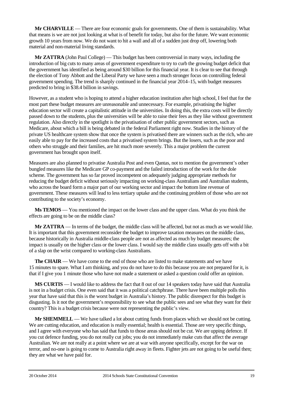**Mr CHARVILLE** — There are four economic goals for governments. One of them is sustainability. What that means is we are not just looking at what is of benefit for today, but also for the future. We want economic growth 10 years from now. We do not want to hit a wall and all of a sudden just drop off, lowering both material and non-material living standards.

**Mr ZATTRA** (John Paul College) — This budget has been controversial in many ways, including the introduction of big cuts to many areas of government expenditure to try to curb the growing budget deficit that the government has identified as being around \$30 billion for this financial year. It is clear to see that through the election of Tony Abbott and the Liberal Party we have seen a much stronger focus on controlling federal government spending. The trend is sharply continued in the financial year 2014–15, with budget measures predicted to bring in \$38.4 billion in savings.

However, as a student who is hoping to attend a higher education institution after high school, I feel that for the most part these budget measures are unreasonable and unnecessary. For example, privatising the higher education sector will create a capitalistic attitude in the universities. In doing this, the extra costs will be directly passed down to the students, plus the universities will be able to raise their fees as they like without government regulation. Also directly in the spotlight is the privatisation of other public government sectors, such as Medicare, about which a bill is being debated in the federal Parliament right now. Studies in the history of the private US healthcare system show that once the system is privatised there are winners such as the rich, who are easily able to pay for the increased costs that a privatised system brings. But the losers, such as the poor and others who struggle and their families, are hit much more severely. This a major problem the current government has brought upon itself.

Measures are also planned to privatise Australia Post and even Qantas, not to mention the government's other bungled measures like the Medicare GP co-payment and the failed introduction of the work for the dole scheme. The government has so far proved incompetent on adequately judging appropriate methods for reducing the budget deficit without seriously impacting on working-class Australians and Australian students, who across the board form a major part of our working sector and impact the bottom line revenue of government. These measures will lead to less tertiary uptake and the continuing problem of those who are not contributing to the society's economy.

**Ms TEMOS** — You mentioned the impact on the lower class and the upper class. What do you think the effects are going to be on the middle class?

**Mr ZATTRA** — In terms of the budget, the middle class will be affected, but not as much as we would like. It is important that this government reconsider the budget to improve taxation measures on the middle class, because historically in Australia middle-class people are not as affected as much by budget measures; the impact is usually on the higher class or the lower class. I would say the middle class usually gets off with a bit of a slap on the wrist compared to working-class Australians.

**The CHAIR** — We have come to the end of those who are listed to make statements and we have 15 minutes to spare. What I am thinking, and you do not have to do this because you are not prepared for it, is that if I give you 1 minute those who have not made a statement or asked a question could offer an opinion.

**MS CURTIS** — I would like to address the fact that 8 out of our 14 speakers today have said that Australia is not in a budget crisis. One even said that it was a political catchphrase. There have been multiple polls this year that have said that this is the worst budget in Australia's history. The public disrespect for this budget is disgusting. Is it not the government's responsibility to see what the public sees and see what they want for their country? This is a budget crisis because were not representing the public's view.

**Mr SHEMMELL** — We have talked a lot about cutting funds from places which we should not be cutting. We are cutting education, and education is really essential; health is essential. Those are very specific things, and I agree with everyone who has said that funds to those areas should not be cut. We are upping defence. If you cut defence funding, you do not really cut jobs; you do not immediately make cuts that affect the average Australian. We are not really at a point where we are at war with anyone specifically, except for the war on terror, and no-one is going to come to Australia right away in fleets. Fighter jets are not going to be useful then; they are what we have paid for.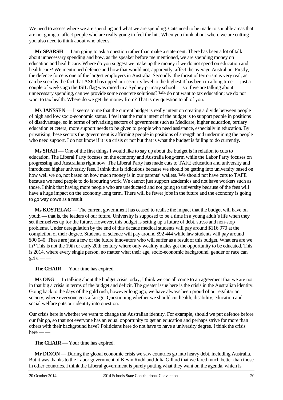We need to assess where we are spending and what we are spending. Cuts need to be made to suitable areas that are not going to affect people who are really going to feel the hit.. When you think about where we are cutting you also need to think about who bleeds.

**Mr SPARSH** — I am going to ask a question rather than make a statement. There has been a lot of talk about unnecessary spending and how, as the speaker before me mentioned, we are spending money on education and health care. Where do you suggest we make up the money if we do not spend on education and health care? We mentioned defence and how that would not, apparently, affect the average Australian. Firstly, the defence force is one of the largest employers in Australia. Secondly, the threat of terrorism is very real, as can be seen by the fact that ASIO has upped our security level to the highest it has been in a long time — just a couple of weeks ago the ISIL flag was raised in a Sydney primary school — so if we are talking about unnecessary spending, can we provide some concrete solutions? We do not want to tax education; we do not want to tax health. Where do we get the money from? That is my question to all of you.

**Ms JANSSEN** — It seems to me that the current budget is really intent on creating a divide between people of high and low socio-economic status. I feel that the main intent of the budget is to support people in positions of disadvantage, so in terms of privatising sectors of government such as Medicare, higher education, tertiary education et cetera, more support needs to be given to people who need assistance, especially in education. By privatising these sectors the government is affirming people in positions of strength and undermining the people who need support. I do not know if it is a crisis or not but that is what the budget is failing to do currently.

**Ms SHAH** — One of the first things I would like to say up about the budget is in relation to cuts to education. The Liberal Party focuses on the economy and Australia long-term while the Labor Party focuses on progressing and Australians right now. The Liberal Party has made cuts to TAFE education and university and introduced higher university fees. I think this is ridiculous because we should be getting into university based on how well we do, not based on how much money is in our parents' wallets. We should not have cuts to TAFE because we need people to do labouring work. We cannot just support academics and not have workers such as those. I think that having more people who are uneducated and not going to university because of the fees will have a huge impact on the economy long term. There will be fewer jobs in the future and the economy is going to go way down as a result.

**Ms KOSTELAC** — The current government has ceased to realise the impact that the budget will have on youth — that is, the leaders of our future. University is supposed to be a time in a young adult's life when they set themselves up for the future. However, this budget is setting up a future of debt, stress and non-stop problems. Under deregulation by the end of this decade medical students will pay around \$116 970 at the completion of their degree. Students of science will pay around \$92 444 while law students will pay around \$90 040. These are just a few of the future innovators who will suffer as a result of this budget. What era are we in? This is not the 19th or early 20th century where only wealthy males got the opportunity to be educated. This is 2014, where every single person, no matter what their age, socio-economic background, gender or race can get a  $-$ 

**The CHAIR** — Your time has expired.

**Ms ONG** — In talking about the budget crisis today, I think we can all come to an agreement that we are not in that big a crisis in terms of the budget and deficit. The greater issue here is the crisis in the Australian identity. Going back to the days of the gold rush, however long ago, we have always been proud of our egalitarian society, where everyone gets a fair go. Questioning whether we should cut health, disability, education and social welfare puts our identity into question.

Our crisis here is whether we want to change the Australian identity. For example, should we put defence before our fair go, so that not everyone has an equal opportunity to get an education and perhaps strive for more than others with their background have? Politicians here do not have to have a university degree. I think the crisis  $here$  —  $-$ 

**The CHAIR** — Your time has expired.

**Mr DIXON** — During the global economic crisis we saw countries go into heavy debt, including Australia. But it was thanks to the Labor government of Kevin Rudd and Julia Gillard that we fared much better than those in other countries. I think the Liberal government is purely putting what they want on the agenda, which is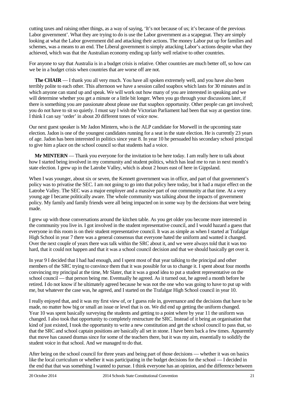cutting taxes and raising other things, as a way of saying, 'It's not because of us; it's because of the previous Labor government'. What they are trying to do is use the Labor government as a scapegoat. They are simply looking at what the Labor government did and attacking their actions. The money Labor put up for families and schemes, was a means to an end. The Liberal government is simply attacking Labor's actions despite what they achieved, which was that the Australian economy ending up fairly well relative to other countries.

For anyone to say that Australia is in a budget crisis is relative. Other countries are much better off, so how can we be in a budget crisis when countries that are worse off are not.

**The CHAIR** — I thank you all very much. You have all spoken extremely well, and you have also been terribly polite to each other. This afternoon we have a session called soapbox which lasts for 30 minutes and in which anyone can stand up and speak. We will work out how many of you are interested in speaking and we will determine whether you get a minute or a little bit longer. When you go through your discussions later, if there is something you are passionate about please use that soapbox opportunity. Other people can get involved; you do not have to sit so quietly. I must say I wish the Victorian Parliament had been that way at question time. I think I can say 'order' in about 20 different tones of voice now.

Our next guest speaker is Mr Jadon Mintern, who is the ALP candidate for Morwell in the upcoming state election. Jadon is one of the youngest candidates running for a seat in the state election. He is currently 23 years of age. Jadon has been interested in politics since year 8. In year 10 he persuaded his secondary school principal to give him a place on the school council so that students had a voice.

**Mr MINTERN** — Thank you everyone for the invitation to be here today. I am really here to talk about how I started being involved in my community and student politics, which has lead me to run in next month's state election. I grew up in the Latrobe Valley, which is about 2 hours east of here in Gippsland.

When I was younger, about six or seven, the Kennett government was in office, and part of that government's policy was to privatise the SEC. I am not going to go into that policy here today, but it had a major effect on the Latrobe Valley. The SEC was a major employer and a massive part of our community at that time. At a very young age I became politically aware. The whole community was talking about the impacts of government policy. My family and family friends were all being impacted on in some way by the decisions that were being made.

I grew up with those conversations around the kitchen table. As you get older you become more interested in the community you live in. I got involved in the student representative council, and I would hazard a guess that everyone in this room is on their student representative council. It was as simple as when I started at Trafalgar High School in year 7 there was a general consensus that everyone hated the uniform and wanted it changed. Over the next couple of years there was talk within the SRC about it, and we were always told that it was too hard, that it could not happen and that it was a school council decision and that we should basically get over it.

In year 9 I decided that I had had enough, and I spent most of that year talking to the principal and other members of the SRC trying to convince them that it was possible for us to change it. I spent about four months convincing my principal at the time, Mr Slater, that it was a good idea to put a student representative on the school council — that person being me. Eventually he agreed. As it turned out, he agreed a month before he retired. I do not know if he ultimately agreed because he was not the one who was going to have to put up with me, but whatever the case was, he agreed, and I started on the Trafalgar High School council in year 10.

I really enjoyed that, and it was my first view of, or I guess role in, governance and the decisions that have to be made, no matter how big or small an issue or level that is on. We did end up getting the uniform changed. Year 10 was spent basically surveying the students and getting to a point where by year 11 the uniform was changed. I also took that opportunity to completely restructure the SRC. Instead of it being an organisation that kind of just existed, I took the opportunity to write a new constitution and get the school council to pass that, so that the SRC and school captain positions are basically all set in stone. I have been back a few times. Apparently that move has caused dramas since for some of the teachers there, but it was my aim, essentially to solidify the student voice in that school. And we managed to do that.

After being on the school council for three years and being part of those decisions — whether it was on basics like the local curriculum or whether it was participating in the budget decisions for the school — I decided in the end that that was something I wanted to pursue. I think everyone has an opinion, and the difference between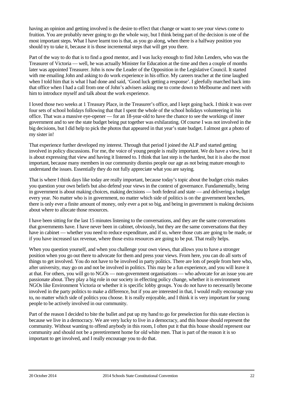having an opinion and getting involved is the desire to effect that change or want to see your views come to fruition. You are probably never going to go the whole way, but I think being part of the decision is one of the most important steps. What I have learnt too is that, as you go along, when there is a halfway position you should try to take it, because it is those incremental steps that will get you there.

Part of the way to do that is to find a good mentor, and I was lucky enough to find John Lenders, who was the Treasurer of Victoria — well, he was actually Minister for Education at the time and then a couple of months later was appointed Treasurer. John is now the Leader of the Opposition in the Legislative Council. It started with me emailing John and asking to do work experience in his office. My careers teacher at the time laughed when I told him that is what I had done and said, 'Good luck getting a response'. I gleefully marched back into that office when I had a call from one of John's advisers asking me to come down to Melbourne and meet with him to introduce myself and talk about the work experience.

I loved those two weeks at 1 Treasury Place, in the Treasurer's office, and I kept going back. I think it was over four sets of school holidays following that that I spent the whole of the school holidays volunteering in his office. That was a massive eye-opener — for an 18-year-old to have the chance to see the workings of inner government and to see the state budget being put together was exhilarating. Of course I was not involved in the big decisions, but I did help to pick the photos that appeared in that year's state budget. I almost got a photo of my sister in!

That experience further developed my interest. Through that period I joined the ALP and started getting involved in policy discussions. For me, the voice of young people is really important. We do have a view, but it is about expressing that view and having it listened to. I think that last step is the hardest, but it is also the most important, because many members in our community dismiss people our age as not being mature enough to understand the issues. Essentially they do not fully appreciate what you are saying.

That is where I think days like today are really important, because today's topic about the budget crisis makes you question your own beliefs but also defend your views in the context of governance. Fundamentally, being in government is about making choices, making decisions — both federal and state — and delivering a budget every year. No matter who is in government, no matter which side of politics is on the government benches, there is only ever a finite amount of money, only ever a pot so big, and being in government is making decisions about where to allocate those resources.

I have been sitting for the last 15 minutes listening to the conversations, and they are the same conversations that governments have. I have never been in cabinet, obviously, but they are the same conversations that they have in cabinet — whether you need to reduce expenditure, and if so, where those cuts are going to be made, or if you have increased tax revenue, where those extra resources are going to be put. That really helps.

When you question yourself, and when you challenge your own views, that allows you to have a stronger position when you go out there to advocate for them and press your views. From here, you can do all sorts of things to get involved. You do not have to be involved in party politics. There are lots of people from here who, after university, may go on and not be involved in politics. This may be a fun experience, and you will leave it at that. For others, you will go to NGOs — non-government organisations — who advocate for an issue you are passionate about. They play a big role in our society in effecting policy change, whether it is environment NGOs like Environment Victoria or whether it is specific lobby groups. You do not have to necessarily become involved in the party politics to make a difference, but if you are interested in that, I would really encourage you to, no matter which side of politics you choose. It is really enjoyable, and I think it is very important for young people to be actively involved in our community.

Part of the reason I decided to bite the bullet and put up my hand to go for preselection for this state election is because we live in a democracy. We are very lucky to live in a democracy, and this house should represent the community. Without wanting to offend anybody in this room, I often put it that this house should represent our community and should not be a preretirement home for old white men. That is part of the reason it is so important to get involved, and I really encourage you to do that.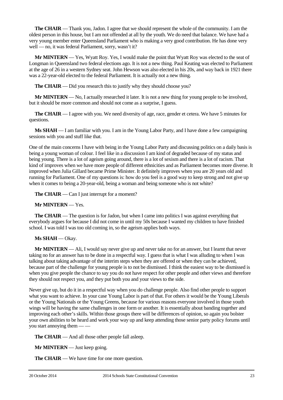**The CHAIR** — Thank you, Jadon. I agree that we should represent the whole of the community. I am the oldest person in this house, but I am not offended at all by the youth. We do need that balance. We have had a very young member enter Queensland Parliament who is making a very good contribution. He has done very well — no, it was federal Parliament, sorry, wasn't it?

**Mr MINTERN** — Yes, Wyatt Roy. Yes, I would make the point that Wyatt Roy was elected to the seat of Longman in Queensland two federal elections ago. It is not a new thing. Paul Keating was elected to Parliament at the age of 26 in a western Sydney seat. John Hewson was also elected in his 20s, and way back in 1921 there was a 22-year-old elected to the federal Parliament. It is actually not a new thing.

**The CHAIR** — Did you research this to justify why they should choose you?

**Mr MINTERN** — No, I actually researched it later. It is not a new thing for young people to be involved, but it should be more common and should not come as a surprise, I guess.

**The CHAIR** — I agree with you. We need diversity of age, race, gender et cetera. We have 5 minutes for questions.

**Ms SHAH** — I am familiar with you. I am in the Young Labor Party, and I have done a few campaigning sessions with you and stuff like that.

One of the main concerns I have with being in the Young Labor Party and discussing politics on a daily basis is being a young woman of colour. I feel like in a discussion I am kind of degraded because of my status and being young. There is a lot of ageism going around, there is a lot of sexism and there is a lot of racism. That kind of improves when we have more people of different ethnicities and as Parliament becomes more diverse. It improved when Julia Gillard became Prime Minister. It definitely improves when you are 20 years old and running for Parliament. One of my questions is: how do you feel is a good way to keep strong and not give up when it comes to being a 20-year-old, being a woman and being someone who is not white?

**The CHAIR** — Can I just interrupt for a moment?

**Mr MINTERN** — Yes.

**The CHAIR** — The question is for Jadon, but when I came into politics I was against everything that everybody argues for because I did not come in until my 50s because I wanted my children to have finished school. I was told I was too old coming in, so the ageism applies both ways.

### **Ms SHAH** — Okay.

**Mr MINTERN** — Ali, I would say never give up and never take no for an answer, but I learnt that never taking no for an answer has to be done in a respectful way. I guess that is what I was alluding to when I was talking about taking advantage of the interim steps when they are offered or when they can be achieved, because part of the challenge for young people is to not be dismissed. I think the easiest way to be dismissed is when you give people the chance to say you do not have respect for other people and other views and therefore they should not respect you, and they put both you and your views to the side.

Never give up, but do it in a respectful way when you do challenge people. Also find other people to support what you want to achieve. In your case Young Labor is part of that. For others it would be the Young Liberals or the Young Nationals or the Young Greens, because for various reasons everyone involved in those youth wings will be having the same challenges in one form or another. It is essentially about banding together and improving each other's skills. Within those groups there will be differences of opinion, so again you bolster your own abilities to be heard and work your way up and keep attending those senior party policy forums until you start annoying them — —

**The CHAIR** — And all those other people fall asleep.

**Mr MINTERN** — Just keep going.

**The CHAIR** — We have time for one more question.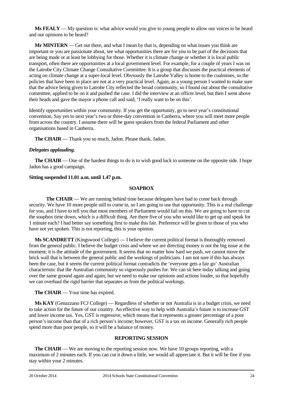**Ms FEALY** — My question is: what advice would you give to young people to allow our voices to be heard and our opinions to be heard?

**Mr MINTERN** — Get out there, and what I mean by that is, depending on what issues you think are important or you are passionate about, see what opportunities there are for you to be part of the decisions that are being made or at least be lobbying for those. Whether it is climate change or whether it is local public transport, often there are opportunities at a local government level. For example, for a couple of years I was on the Latrobe City Climate Change Consultative Committee. It is a group that discusses the practical elements of acting on climate change at a super-local level. Obviously the Latrobe Valley is home to the coalmines, so the policies that have been in place are not at a very practical level. Again, as a young person I wanted to make sure that the advice being given to Latrobe City reflected the broad community, so I found out about the consultative committee, applied to be on it and pushed the case. I did the interview at an officer level, but then I went above their heads and gave the mayor a phone call and said, 'I really want to be on this'.

Identify opportunities within your community. If you get the opportunity, go to next year's constitutional convention. Say yes to next year's two or three-day convention in Canberra, where you will meet more people from across the country. I assume there will be guest speakers from the federal Parliament and other organisations based in Canberra.

**The CHAIR** — Thank you so much, Jadon. Please thank, Jadon.

# *Delegates applauding.*

**The CHAIR** — One of the hardest things to do is to wish good luck to someone on the opposite side. I hope Jadon has a good campaign.

# **Sitting suspended 11.01 a.m. until 1.47 p.m.**

### **SOAPBOX**

**The CHAIR** — We are running behind time because delegates have had to come back through security. We have 10 more people still to come in, so I am going to use that opportunity. This is a real challenge for you, and I have to tell you that most members of Parliament would fail on this. We are going to have to cut the soapbox time down, which is a difficult thing. Are there five of you who would like to get up and speak for 1 minute each? I had better say something first to make this fair. Preference will be given to those of you who have not yet spoken. This is not reporting, this is your opinion.

**Ms SCANDRETT** (Kingswood College) — I believe the current political format is thoroughly removed from the general public. I believe the budget crisis and where we are directing money is not the big issue at the moment; it is the attitude of the government. It seems that no matter how hard we push, we cannot move the brick wall that is between the general public and the workings of politicians. I am not sure if this has always been the case, but it seems the current political format contradicts the 'everyone gets a fair go' Australian characteristic that the Australian community so vigorously pushes for. We can sit here today talking and going over the same ground again and again; but we need to make our opinions and actions louder, so that hopefully we can overhaul the rigid barrier that separates us from the political workings.

**The CHAIR** — Your time has expired.

**Ms KAY** (Genazzano FCJ College) — Regardless of whether or not Australia is in a budget crisis, we need to take action for the future of our country. An effective way to help with Australia's future is to increase GST and lower income tax. Yes, GST is regressive, which means that it represents a greater percentage of a poor person's income than that of a rich person's income; however, GST is a tax on income. Generally rich people spend more than poor people, so it will be a balance of money.

# **REPORTING SESSION**

**The CHAIR** — We are moving to the reporting session now. We have 10 groups reporting, with a maximum of 2 minutes each. If you can cut it down a little, we would all appreciate it. But it will be fine if you stay within your 2 minutes.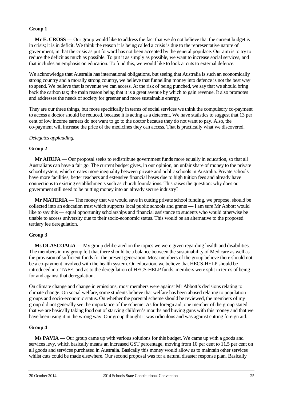## **Group 1**

**Mr E. CROSS** — Our group would like to address the fact that we do not believe that the current budget is in crisis; it is in deficit. We think the reason it is being called a crisis is due to the representative nature of government, in that the crisis as put forward has not been accepted by the general populace. Our aim is to try to reduce the deficit as much as possible. To put it as simply as possible, we want to increase social services, and that includes an emphasis on education. To fund this, we would like to look at cuts to external defence.

We acknowledge that Australia has international obligations, but seeing that Australia is such an economically strong country and a morally strong country, we believe that funnelling money into defence is not the best way to spend. We believe that is revenue we can access. At the risk of being punched, we say that we should bring back the carbon tax; the main reason being that it is a great avenue by which to gain revenue. It also promotes and addresses the needs of society for greener and more sustainable energy.

They are our three things, but more specifically in terms of social services we think the compulsory co-payment to access a doctor should be reduced, because it is acting as a deterrent. We have statistics to suggest that 13 per cent of low income earners do not want to go to the doctor because they do not want to pay. Also, the co-payment will increase the price of the medicines they can access. That is practically what we discovered.

# *Delegates applauding.*

# **Group 2**

**Mr AHUJA** — Our proposal seeks to redistribute government funds more equally in education, so that all Australians can have a fair go. The current budget gives, in our opinion, an unfair share of money to the private school system, which creates more inequality between private and public schools in Australia. Private schools have more facilities, better teachers and extensive financial bases due to high tuition fees and already have connections to existing establishments such as church foundations. This raises the question: why does our government still need to be putting money into an already secure industry?

**Mr MATERIA** — The money that we would save in cutting private school funding, we propose, should be collected into an education trust which supports local public schools and grants — I am sure Mr Abbott would like to say this — equal opportunity scholarships and financial assistance to students who would otherwise be unable to access university due to their socio-economic status. This would be an alternative to the proposed tertiary fee deregulation.

### **Group 3**

**Ms OLASCOAGA** — My group deliberated on the topics we were given regarding health and disabilities. The members in my group felt that there should be a balance between the sustainability of Medicare as well as the provision of sufficient funds for the present generation. Most members of the group believe there should not be a co-payment involved with the health system. On education, we believe that HECS-HELP should be introduced into TAFE, and as to the deregulation of HECS-HELP funds, members were split in terms of being for and against that deregulation.

On climate change and change in emissions, most members were against Mr Abbott's decisions relating to climate change. On social welfare, some students believe that welfare has been abused relating to population groups and socio-economic status. On whether the parental scheme should be reviewed, the members of my group did not generally see the importance of the scheme. As for foreign aid, one member of the group stated that we are basically taking food out of starving children's mouths and buying guns with this money and that we have been using it in the wrong way. Our group thought it was ridiculous and was against cutting foreign aid.

### **Group 4**

**Ms PAVIA** — Our group came up with various solutions for this budget. We came up with a goods and services levy, which basically means an increased GST percentage, moving from 10 per cent to 11.5 per cent on all goods and services purchased in Australia. Basically this money would allow us to maintain other services whilst cuts could be made elsewhere. Our second proposal was for a natural disaster response plan. Basically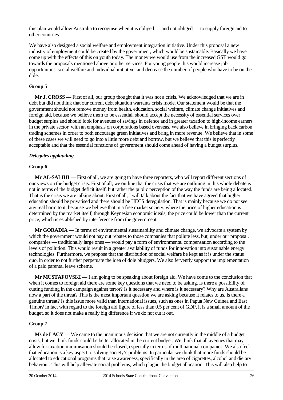this plan would allow Australia to recognise when it is obliged — and not obliged — to supply foreign aid to other countries.

We have also designed a social welfare and employment integration initiative. Under this proposal a new industry of employment could be created by the government, which would be sustainable. Basically we have come up with the effects of this on youth today. The money we would use from the increased GST would go towards the proposals mentioned above or other services. For young people this would increase job opportunities, social welfare and individual initiative, and decrease the number of people who have to be on the dole.

# **Group 5**

**Mr J. CROSS** — First of all, our group thought that it was not a crisis. We acknowledged that we are in debt but did not think that our current debt situation warrants crisis mode. Our statement would be that the government should not remove money from health, education, social welfare, climate change initiatives and foreign aid, because we believe them to be essential, should accept the necessity of essential services over budget surplus and should look for avenues of savings in defence and in greater taxation to high-income earners in the private sector, with an emphasis on corporations based overseas. We also believe in bringing back carbon trading schemes in order to both encourage green initiatives and bring in more revenue. We believe that in some of these cases we will need to go into a little more debt and borrow, but we believe that this is perfectly acceptable and that the essential functions of government should come ahead of having a budget surplus.

# *Delegates applauding*.

# **Group 6**

**Mr AL-SALIHI** — First of all, we are going to have three reporters, who will report different sections of our views on the budget crisis. First of all, we outline that the crisis that we are outlining in this whole debate is not in terms of the budget deficit itself, but rather the public perception of the way the funds are being allocated. That is the crisis we are talking about. First of all, I will talk about the fact that we have agreed that higher education should be privatised and there should be HECS deregulation. That is mainly because we do not see any real harm to it, because we believe that in a free market society, where the price of higher education is determined by the market itself, through Keynesian economic ideals, the price could be lower than the current price, which is established by interference from the government.

**Mr GORADIA** — In terms of environmental sustainability and climate change, we advocate a system by which the government would not pay out rebates to those companies that pollute less, but, under our proposal, companies — traditionally large ones — would pay a form of environmental compensation according to the levels of pollution. This would result in a greater availability of funds for innovation into sustainable energy technologies. Furthermore, we propose that the distribution of social welfare be kept as it is under the status quo, in order to not further perpetuate the idea of dole bludgers. We also fervently support the implementation of a paid parental leave scheme.

**Mr MUSTAFOVSKI** — I am going to be speaking about foreign aid. We have come to the conclusion that when it comes to foreign aid there are some key questions that we need to be asking. Is there a possibility of cutting funding in the campaign against terror? Is it necessary and where is it necessary? Why are Australians now a part of the threat? This is the most important question we are asking because it relates to us. Is there a genuine threat? Is this issue more valid than international issues, such as ones in Papua New Guinea and East Timor? In fact with regard to the foreign aid figure of less than 0.5 per cent of GDP, it is a small amount of the budget, so it does not make a really big difference if we do not cut it out.

# **Group 7**

**Ms de LACY** — We came to the unanimous decision that we are not currently in the middle of a budget crisis, but we think funds could be better allocated in the current budget. We think that all avenues that may allow for taxation minimisation should be closed, especially in terms of multinational companies. We also feel that education is a key aspect to solving society's problems. In particular we think that more funds should be allocated to educational programs that raise awareness, specifically in the area of cigarettes, alcohol and dietary behaviour. This will help alleviate social problems, which plague the budget allocation. This will also help to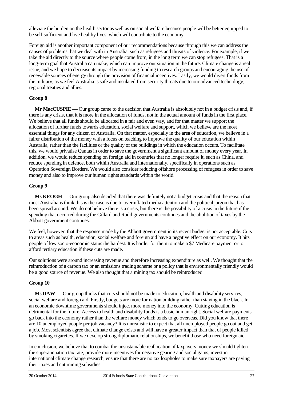alleviate the burden on the health sector as well as on social welfare because people will be better equipped to be self-sufficient and live healthy lives, which will contribute to the economy.

Foreign aid is another important component of our recommendations because through this we can address the causes of problems that we deal with in Australia, such as refugees and threats of violence. For example, if we take the aid directly to the source where people come from, in the long term we can stop refugees. That is a long-term goal that Australia can make, which can improve our situation in the future. Climate change is a real issue, and we hope to decrease its impact by increasing funding to research groups and encouraging the use of renewable sources of energy through the provision of financial incentives. Lastly, we would divert funds from the military, as we feel Australia is safe and insulated from security threats due to our advanced technology, regional treaties and allies.

### **Group 8**

**Mr MacCUSPIE** — Our group came to the decision that Australia is absolutely not in a budget crisis and, if there is any crisis, that it is more in the allocation of funds, not in the actual amount of funds in the first place. We believe that all funds should be allocated in a fair and even way, and for that matter we support the allocation of further funds towards education, social welfare and support, which we believe are the most essential things for any citizen of Australia. On that matter, especially in the area of education, we believe in a fairer distribution of the money with a focus on teaching to improve the quality of our education within Australia, rather than the facilities or the quality of the buildings in which the education occurs. To facilitate this, we would privatise Qantas in order to save the government a significant amount of money every year. In addition, we would reduce spending on foreign aid in countries that no longer require it, such as China, and reduce spending in defence, both within Australia and internationally, specifically in operations such as Operation Sovereign Borders. We would also consider reducing offshore processing of refugees in order to save money and also to improve our human rights standards within the world.

# **Group 9**

**Ms KEOGH** — Our group also decided that there was definitely not a budget crisis and that the reason that most Australians think this is the case is due to overinflated media attention and the political jargon that has been spread around. We do not believe there is a crisis, but there is the possibility of a crisis in the future if the spending that occurred during the Gillard and Rudd governments continues and the abolition of taxes by the Abbott government continues.

We feel, however, that the response made by the Abbott government in its recent budget is not acceptable. Cuts to areas such as health, education, social welfare and foreign aid have a negative effect on our economy. It hits people of low socio-economic status the hardest. It is harder for them to make a \$7 Medicare payment or to afford tertiary education if these cuts are made.

Our solutions were around increasing revenue and therefore increasing expenditure as well. We thought that the reintroduction of a carbon tax or an emissions trading scheme or a policy that is environmentally friendly would be a good source of revenue. We also thought that a mining tax should be reintroduced.

# **Group 10**

**Ms DAW** — Our group thinks that cuts should not be made to education, health and disability services, social welfare and foreign aid. Firstly, budgets are more for nation building rather than staying in the black. In an economic downtime governments should inject more money into the economy. Cutting education is detrimental for the future. Access to health and disability funds is a basic human right. Social welfare payments go back into the economy rather than the welfare money which tends to go overseas. Did you know that there are 10 unemployed people per job vacancy? It is unrealistic to expect that all unemployed people go out and get a job. Most scientists agree that climate change exists and will have a greater impact than that of people killed by smoking cigarettes. If we develop strong diplomatic relationships, we benefit those who need foreign aid.

In conclusion, we believe that to combat the unsustainable reallocation of taxpayers money we should tighten the superannuation tax rate, provide more incentives for negative gearing and social gains, invest in international climate change research, ensure that there are no tax loopholes to make sure taxpayers are paying their taxes and cut mining subsidies.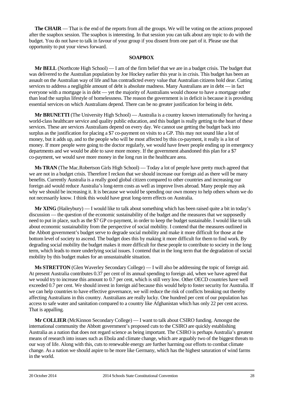**The CHAIR** — That is the end of the reports from all the groups. We will be voting on the actions proposed after the soapbox session. The soapbox is interesting. In that session you can talk about any topic to do with the budget. You do not have to talk in favour of your group if you dissent from one part of it. Please use that opportunity to put your views forward.

### **SOAPBOX**

**Mr BELL** (Northcote High School) — I am of the firm belief that we are in a budget crisis. The budget that was delivered to the Australian population by Joe Hockey earlier this year is in crisis. This budget has been an assault on the Australian way of life and has contradicted every value that Australian citizens hold dear. Cutting services to address a negligible amount of debt is absolute madness. Many Australians are in debt — in fact everyone with a mortgage is in debt — yet the majority of Australians would choose to have a mortgage rather than lead the surplus lifestyle of homelessness. The reason the government is in deficit is because it is providing essential services on which Australians depend. There can be no greater justification for being in debt.

**Mr BRUNETTI** (The University High School) — Australia is a country known internationally for having a world-class healthcare service and quality public education, and this budget is really getting to the heart of these services. These are services Australians depend on every day. We cannot use getting the budget back into surplus as the justification for placing a \$7 co-payment on visits to a GP. This may not sound like a lot of money, but it adds up, and to the people who will be most affected by this co-payment, it really is a lot of money. If more people were going to the doctor regularly, we would have fewer people ending up in emergency departments and we would be able to save more money. If the government abandoned this plan for a \$7 co-payment, we would save more money in the long run in the healthcare area.

**Ms TRAN** (The Mac.Robertson Girls High School) — Today a lot of people have pretty much agreed that we are not in a budget crisis. Therefore I reckon that we should increase our foreign aid as there will be many benefits. Currently Australia is a really good global citizen compared to other countries and increasing our foreign aid would reduce Australia's long-term costs as well as improve lives abroad. Many people may ask why we should be increasing it. It is because we would be spending our own money to help others whom we do not necessarily know. I think this would have great long-term effects on Australia.

**Mr XING** (Haileybury) — I would like to talk about something which has been raised quite a bit in today's discussion — the question of the economic sustainability of the budget and the measures that we supposedly need to put in place, such as the \$7 GP co-payment, in order to keep the budget sustainable. I would like to talk about economic sustainability from the perspective of social mobility. I contend that the measures outlined in the Abbott government's budget serve to degrade social mobility and make it more difficult for those at the bottom level of society to ascend. The budget does this by making it more difficult for them to find work. By degrading social mobility the budget makes it more difficult for these people to contribute to society in the long term, which leads to more underlying social issues. I contend that in the long term that the degradation of social mobility by this budget makes for an unsustainable situation.

**Ms STRETTON** (Glen Waverley Secondary College) — I will also be addressing the topic of foreign aid. At present Australia contributes 0.37 per cent of its annual spending to foreign aid, when we have agreed that we would try to increase this amount to 0.7 per cent, which is still very low. Other OECD countries have well exceeded 0.7 per cent. We should invest in foreign aid because this would help to foster security for Australia. If we can help countries to have effective governance, we will reduce the risk of conflicts breaking out thereby affecting Australians in this country. Australians are really lucky. One hundred per cent of our population has access to safe water and sanitation compared to a country like Afghanistan which has only 22 per cent access. That is appalling.

**Mr COLLIER** (McKinnon Secondary College) — I want to talk about CSIRO funding. Amongst the international community the Abbott government's proposed cuts to the CSIRO are quickly establishing Australia as a nation that does not regard science as being important. The CSIRO is perhaps Australia's greatest means of research into issues such as Ebola and climate change, which are arguably two of the biggest threats to our way of life. Along with this, cuts to renewable energy are further harming our efforts to combat climate change. As a nation we should aspire to be more like Germany, which has the highest saturation of wind farms in the world.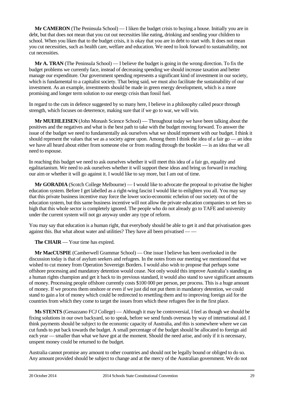**Mr CAMERON** (The Peninsula School) — I liken the budget crisis to buying a house. Initially you are in debt, but that does not mean that you cut out necessities like eating, drinking and sending your children to school. When you liken that to the budget crisis, it is okay that you are in debt to start with. It does not mean you cut necessities, such as health care, welfare and education. We need to look forward to sustainability, not cut necessities.

**Mr A. TRAN** (The Peninsula School) — I believe the budget is going in the wrong direction. To fix the budget problems we currently face, instead of decreasing spending we should increase taxation and better manage our expenditure. Our government spending represents a significant kind of investment in our society, which is fundamental to a capitalist society. That being said, we must also facilitate the sustainability of our investment. As an example, investments should be made in green energy development, which is a more promising and longer term solution to our energy crisis than fossil fuel.

In regard to the cuts in defence suggested by so many here, I believe in a philosophy called peace through strength, which focuses on deterrence, making sure that if we go to war, we will win.

**Mr MUEHLEISEN** (John Monash Science School) — Throughout today we have been talking about the positives and the negatives and what is the best path to take with the budget moving forward. To answer the issue of the budget we need to fundamentally ask ourselves what we should represent with our budget. I think it should represent the values that we as a society agree upon. Among them I think the idea of a fair go — an idea we have all heard about either from someone else or from reading through the booklet — is an idea that we all need to espouse.

In reaching this budget we need to ask ourselves whether it will meet this idea of a fair go, equality and egalitarianism. We need to ask ourselves whether it will support these ideas and bring us forward in reaching our aim or whether it will go against it. I would like to say more, but I am out of time.

**Mr GORADIA** (Scotch College Melbourne) — I would like to advocate the proposal to privatise the higher education system. Before I get labelled as a right-wing fascist I would like to enlighten you all. You may say that this private business incentive may force the lower socio-economic echelon of our society out of the education system, but this same business incentive will not allow the private education companies to set fees so high that this whole sector is completely ignored. The people who do not already go to TAFE and university under the current system will not go anyway under any type of reform.

You may say that education is a human right, that everybody should be able to get it and that privatisation goes against this. But what about water and utilities? They have all been privatised — —

**The CHAIR** — Your time has expired.

**Mr MacCUSPIE** (Camberwell Grammar School) — One issue I believe has been overlooked in the discussion today is that of asylum seekers and refugees. In the notes from our meeting we mentioned that we wished to cut money from Operation Sovereign Borders. I would also wish to propose that perhaps some offshore processing and mandatory detention would cease. Not only would this improve Australia's standing as a human rights champion and get it back to its previous standard, it would also stand to save significant amounts of money. Processing people offshore currently costs \$100 000 per person, per process. This is a huge amount of money. If we process them onshore or even if we just did not put them in mandatory detention, we could stand to gain a lot of money which could be redirected to resettling them and to improving foreign aid for the countries from which they come to target the issues from which these refugees flee in the first place.

**Ms STENTS** (Genazzano FCJ College) — Although it may be controversial, I feel as though we should be fixing solutions in our own backyard, so to speak, before we send funds overseas by way of international aid. I think payments should be subject to the economic capacity of Australia, and this is somewhere where we can cut funds to put back towards the budget. A small percentage of the budget should be allocated to foreign aid each year — smaller than what we have got at the moment. Should the need arise, and only if it is necessary, unspent money could be returned to the budget.

Australia cannot promise any amount to other countries and should not be legally bound or obliged to do so. Any amount provided should be subject to change and at the mercy of the Australian government. We do not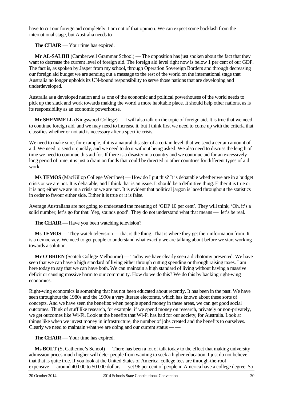have to cut our foreign aid completely; I am not of that opinion. We can expect some backlash from the international stage, but Australia needs to — —

**The CHAIR** — Your time has expired.

**Mr AL-SALIHI** (Camberwell Grammar School) — The opposition has just spoken about the fact that they want to decrease the current level of foreign aid. The foreign aid level right now is below 1 per cent of our GDP. The fact is, as spoken by Jasper from my school, through Operation Sovereign Borders and through decreasing our foreign aid budget we are sending out a message to the rest of the world on the international stage that Australia no longer upholds its UN-bound responsibility to serve those nations that are developing and underdeveloped.

Australia as a developed nation and as one of the economic and political powerhouses of the world needs to pick up the slack and work towards making the world a more habitable place. It should help other nations, as is its responsibility as an economic powerhouse.

**Mr SHEMMELL** (Kingswood College) — I will also talk on the topic of foreign aid. It is true that we need to continue foreign aid, and we may need to increase it, but I think first we need to come up with the criteria that classifies whether or not aid is necessary after a specific crisis.

We need to make sure, for example, if it is a natural disaster of a certain level, that we send a certain amount of aid. We need to send it quickly, and we need to do it without being asked. We also need to discuss the length of time we need to continue this aid for. If there is a disaster in a country and we continue aid for an excessively long period of time, it is just a drain on funds that could be directed to other countries for different types of aid work.

**Ms TEMOS** (MacKillop College Werribee) — How do I put this? It is debatable whether we are in a budget crisis or we are not. It is debatable, and I think that is an issue. It should be a definitive thing. Either it is true or it is not; either we are in a crisis or we are not. It is evident that political jargon is laced throughout the statistics in order to favour either side. Either it is true or it is false.

Average Australians are not going to understand the meaning of 'GDP 10 per cent'. They will think, 'Oh, it's a solid number; let's go for that. Yep, sounds good'. They do not understand what that means — let's be real.

**The CHAIR** — Have you been watching television?

**Ms TEMOS** — They watch television — that is the thing. That is where they get their information from. It is a democracy. We need to get people to understand what exactly we are talking about before we start working towards a solution.

**Mr O'BRIEN** (Scotch College Melbourne) — Today we have clearly seen a dichotomy presented. We have seen that we can have a high standard of living either through cutting spending or through raising taxes. I am here today to say that we can have both. We can maintain a high standard of living without having a massive deficit or causing massive harm to our community. How do we do this? We do this by backing right-wing economics.

Right-wing economics is something that has not been educated about recently. It has been in the past. We have seen throughout the 1980s and the 1990s a very literate electorate, which has known about these sorts of concepts. And we have seen the benefits: when people spend money in these areas, we can get good social outcomes. Think of stuff like research, for example: if we spend money on research, privately or non-privately, we get outcomes like Wi-Fi. Look at the benefits that Wi-Fi has had for our society, for Australia. Look at things like when we invest money in infrastructure, the number of jobs created and the benefits to ourselves. Clearly we need to maintain what we are doing and our current status — —

**The CHAIR** — Your time has expired.

**Ms BOLT** (St Catherine's School) — There has been a lot of talk today to the effect that making university admission prices much higher will deter people from wanting to seek a higher education. I just do not believe that that is quite true. If you look at the United States of America, college fees are through-the-roof expensive — around 40 000 to 50 000 dollars — yet 96 per cent of people in America have a college degree. So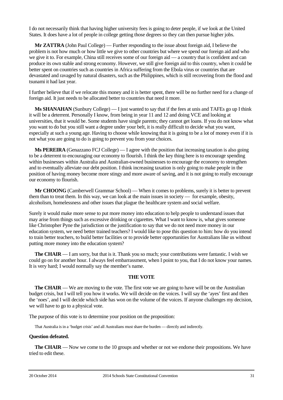I do not necessarily think that having higher university fees is going to deter people, if we look at the United States. It does have a lot of people in college getting those degrees so they can then pursue higher jobs.

**Mr ZATTRA** (John Paul College) — Further responding to the issue about foreign aid, I believe the problem is not how much or how little we give to other countries but where we spend our foreign aid and who we give it to. For example, China still receives some of our foreign aid — a country that is confident and can produce its own stable and strong economy. However, we still give foreign aid to this country, when it could be better spent on countries such as countries in Africa suffering from the Ebola virus or countries that are devastated and ravaged by natural disasters, such as the Philippines, which is still recovering from the flood and tsunami it had last year.

I further believe that if we relocate this money and it is better spent, there will be no further need for a change of foreign aid. It just needs to be allocated better to countries that need it more.

**Ms SHANAHAN** (Sunbury College) — I just wanted to say that if the fees at unis and TAFEs go up I think it will be a deterrent. Personally I know, from being in year 11 and 12 and doing VCE and looking at universities, that it would be. Some students have single parents; they cannot get loans. If you do not know what you want to do but you still want a degree under your belt, it is really difficult to decide what you want, especially at such a young age. Having to choose while knowing that it is going to be a lot of money even if it is not what you are going to do is going to prevent you from your choices.

**Ms PEREIRA** (Genazzano FCJ College) — I agree with the position that increasing taxation is also going to be a deterrent to encouraging our economy to flourish. I think the key thing here is to encourage spending within businesses within Australia and Australian-owned businesses to encourage the economy to strengthen and to eventually alleviate our debt position. I think increasing taxation is only going to make people in the position of having money become more stingy and more aware of saving, and it is not going to really encourage our economy to flourish.

**Mr CHOONG** (Camberwell Grammar School) — When it comes to problems, surely it is better to prevent them than to treat them. In this way, we can look at the main issues in society — for example, obesity, alcoholism, homelessness and other issues that plague the healthcare system and social welfare.

Surely it would make more sense to put more money into education to help people to understand issues that may arise from things such as excessive drinking or cigarettes. What I want to know is, what gives someone like Christopher Pyne the jurisdiction or the justification to say that we do not need more money in our education system, we need better trained teachers? I would like to pose this question to him: how do you intend to train better teachers, to build better facilities or to provide better opportunities for Australians like us without putting more money into the education system?

**The CHAIR** — I am sorry, but that is it. Thank you so much; your contributions were fantastic. I wish we could go on for another hour. I always feel embarrassment, when I point to you, that I do not know your names. It is very hard; I would normally say the member's name.

### **THE VOTE**

**The CHAIR** — We are moving to the vote. The first vote we are going to have will be on the Australian budget crisis, but I will tell you how it works. We will decide on the voices. I will say the 'ayes' first and then the 'noes', and I will decide which side has won on the volume of the voices. If anyone challenges my decision, we will have to go to a physical vote.

The purpose of this vote is to determine your position on the proposition:

That Australia is in a 'budget crisis' and all Australians must share the burden — directly and indirectly.

### **Question defeated.**

**The CHAIR** — Now we come to the 10 groups and whether or not we endorse their propositions. We have tried to edit these.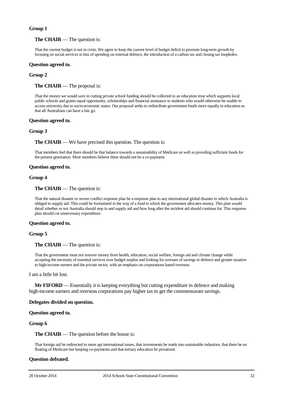### **Group 1**

### **The CHAIR** — The question is:

That the current budget is not in crisis. We agree to keep the current level of budget deficit to promote long-term growth by focusing on social services in lieu of spending on external defence, the introduction of a carbon tax and closing tax loopholes.

### **Question agreed to.**

### **Group 2**

**The CHAIR** — The proposal is:

That the money we would save in cutting private school funding should be collected in an education trust which supports local public schools and grants equal opportunity, scholarships and financial assistance to students who would otherwise be unable to access university due to socio-economic status. Our proposal seeks to redistribute government funds more equally in education so that all Australians can have a fair go.

#### **Question agreed to.**

#### **Group 3**

**The CHAIR** — We have precised this question. The question is:

That members feel that there should be that balance towards a sustainability of Medicare as well as providing sufficient funds for the present generation. Most members believe there should not be a co-payment.

#### **Question agreed to.**

#### **Group 4**

#### **The CHAIR** — The question is:

That the natural disaster or severe conflict response plan be a response plan to any international global disaster to which Australia is obliged to supply aid. This could be formulated in the way of a fund to which the government allocates money. This plan would detail whether or not Australia should step in and supply aid and how long after the incident aid should continue for. This response plan should cut unnecessary expenditure.

#### **Question agreed to.**

### **Group 5**

#### **The CHAIR** — The question is:

That the government must not remove money from health, education, social welfare, foreign aid and climate change while accepting the necessity of essential services over budget surplus and looking for avenues of savings in defence and greater taxation to high-income earners and the private sector, with an emphasis on corporations based overseas.

#### I am a little bit lost.

**Mr FIFORD** — Essentially it is keeping everything but cutting expenditure in defence and making high-income earners and overseas corporations pay higher tax to get the commensurate savings.

#### **Delegates divided on question.**

#### **Question agreed to.**

#### **Group 6**

#### **The CHAIR** — The question before the house is:

That foreign aid be redirected to more apt international issues, that investments be made into sustainable industries, that there be no floating of Medicare but keeping co-payments and that tertiary education be privatised.

### **Question defeated.**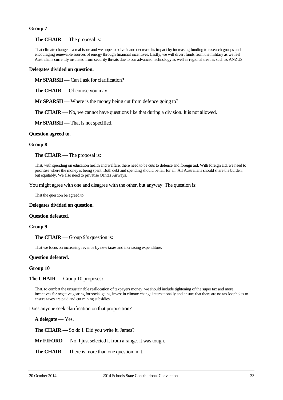### **Group 7**

### **The CHAIR** — The proposal is:

That climate change is a real issue and we hope to solve it and decrease its impact by increasing funding to research groups and encouraging renewable sources of energy through financial incentives. Lastly, we will divert funds from the military as we feel Australia is currently insulated from security threats due to our advanced technology as well as regional treaties such as ANZUS.

### **Delegates divided on question.**

**Mr SPARSH** — Can I ask for clarification?

**The CHAIR** — Of course you may.

**Mr SPARSH** — Where is the money being cut from defence going to?

**The CHAIR** — No, we cannot have questions like that during a division. It is not allowed.

**Mr SPARSH** — That is not specified.

### **Question agreed to.**

### **Group 8**

**The CHAIR** — The proposal is:

That, with spending on education health and welfare, there need to be cuts to defence and foreign aid. With foreign aid, we need to prioritise where the money is being spent. Both debt and spending should be fair for all. All Australians should share the burden, but equitably. We also need to privatise Qantas Airways.

You might agree with one and disagree with the other, but anyway. The question is:

That the question be agreed to.

#### **Delegates divided on question.**

#### **Question defeated.**

#### **Group 9**

**The CHAIR** — Group 9's question is:

That we focus on increasing revenue by new taxes and increasing expenditure.

#### **Question defeated.**

### **Group 10**

### **The CHAIR** — Group 10 proposes**:**

That, to combat the unsustainable reallocation of taxpayers money, we should include tightening of the super tax and more incentives for negative gearing for social gains, invest in climate change internationally and ensure that there are no tax loopholes to ensure taxes are paid and cut mining subsidies.

Does anyone seek clarification on that proposition?

**A delegate** — Yes.

**The CHAIR** — So do I. Did you write it, James?

**Mr FIFORD** — No, I just selected it from a range. It was tough.

**The CHAIR** — There is more than one question in it.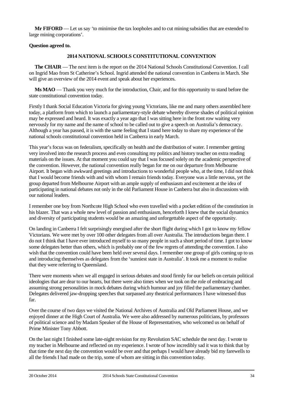**Mr FIFORD** — Let us say 'to minimise the tax loopholes and to cut mining subsidies that are extended to large mining corporations'.

# **Question agreed to.**

# **2014 NATIONAL SCHOOLS CONSTITUTIONAL CONVENTION**

**The CHAIR** — The next item is the report on the 2014 National Schools Constitutional Convention. I call on Ingrid Mao from St Catherine's School. Ingrid attended the national convention in Canberra in March. She will give an overview of the 2014 event and speak about her experiences.

**Ms MAO** — Thank you very much for the introduction, Chair, and for this opportunity to stand before the state constitutional convention today.

Firstly I thank Social Education Victoria for giving young Victorians, like me and many others assembled here today, a platform from which to launch a parliamentary-style debate whereby diverse shades of political opinion may be expressed and heard. It was exactly a year ago that I was sitting here in the front row waiting very nervously for my name and the name of school to be called out to give a speech on Australia's democracy. Although a year has passed, it is with the same feeling that I stand here today to share my experience of the national schools constitutional convention held in Canberra in early March.

This year's focus was on federalism, specifically on health and the distribution of water. I remember getting very involved into the research process and even consulting my politics and history teacher on extra reading materials on the issues. At that moment you could say that I was focused solely on the academic perspective of the convention. However, the national convention really began for me on our departure from Melbourne Airport. It began with awkward greetings and introductions to wonderful people who, at the time, I did not think that I would become friends with and with whom I remain friends today. Everyone was a little nervous, yet the group departed from Melbourne Airport with an ample supply of enthusiasm and excitement at the idea of participating in national debates not only in the old Parliament House in Canberra but also in discussions with our national leaders.

I remember one boy from Northcote High School who even travelled with a pocket edition of the constitution in his blazer. That was a whole new level of passion and enthusiasm, henceforth I knew that the social dynamics and diversity of participating students would be an amazing and unforgettable aspect of the opportunity.

On landing in Canberra I felt surprisingly energised after the short flight during which I got to know my fellow Victorians. We were met by over 100 other delegates from all over Australia. The introductions began there. I do not I think that I have ever introduced myself to so many people in such a short period of time. I got to know some delegates better than others, which is probably one of the few regrets of attending the convention. I also wish that the convention could have been held over several days. I remember one group of girls coming up to us and introducing themselves as delegates from the 'sunniest state in Australia'. It took me a moment to realise that they were referring to Queensland.

There were moments when we all engaged in serious debates and stood firmly for our beliefs on certain political ideologies that are dear to our hearts, but there were also times when we took on the role of embracing and assuming strong personalities in mock debates during which humour and joy filled the parliamentary chamber. Delegates delivered jaw-dropping speeches that surpassed any theatrical performances I have witnessed thus far.

Over the course of two days we visited the National Archives of Australia and Old Parliament House, and we enjoyed dinner at the High Court of Australia. We were also addressed by numerous politicians, by professors of political science and by Madam Speaker of the House of Representatives, who welcomed us on behalf of Prime Minister Tony Abbott.

On the last night I finished some late-night revision for my Revolution SAC schedule the next day. I wrote to my teacher in Melbourne and reflected on my experience. I wrote of how incredibly sad it was to think that by that time the next day the convention would be over and that perhaps I would have already bid my farewells to all the friends I had made on the trip, some of whom are sitting in this convention today.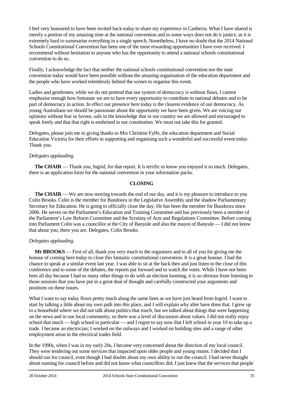I feel very honoured to have been invited back today to share my experience in Canberra. What I have shared is merely a portion of my amazing time at the national convention and in some ways does not do it justice, as it is extremely hard to summarise everything in a single speech. Nonetheless, I have no doubt that the 2014 National Schools Constitutional Convention has been one of the most rewarding opportunities I have ever received. I recommend without hesitation to anyone who has the opportunity to attend a national schools constitutional convention to do so.

Finally, I acknowledge the fact that neither the national schools constitutional convention nor the state convention today would have been possible without the amazing organisation of the education department and the people who have worked relentlessly behind the scenes to organise this event.

Ladies and gentlemen, while we do not pretend that our system of democracy is without flaws, I cannot emphasise enough how fortunate we are to have every opportunity to contribute to national debates and to be part of democracy in action. In effect our presence here today is the clearest evidence of our democracy. As young Australians we should be passionate about the opportunity we have been given. We are voicing our opinions without fear or favour, safe in the knowledge that in our country we are allowed and encouraged to speak freely and that that right is enshrined in our constitution. We must not take this for granted.

Delegates, please join me in giving thanks to Mrs Christine Fyffe, the education department and Social Education Victoria for their efforts in supporting and organising such a wonderful and successful event today. Thank you.

# *Delegates applauding.*

**The CHAIR** — Thank you, Ingrid, for that report. It is terrific to know you enjoyed it so much. Delegates, there is an application form for the national convention in your information packs.

# **CLOSING**

**The CHAIR** — We are now moving towards the end of our day, and it is my pleasure to introduce to you Colin Brooks. Colin is the member for Bundoora in the Legislative Assembly and the shadow Parliamentary Secretary for Education. He is going to officially close the day. He has been the member for Bundoora since 2006. He serves on the Parliament's Education and Training Committee and has previously been a member of the Parliament's Law Reform Committee and the Scrutiny of Acts and Regulations Committee. Before coming into Parliament Colin was a councillor at the City of Banyule and also the mayor of Banyule — I did not know that about you; there you are. Delegates, Colin Brooks.

# *Delegates applauding.*

**Mr BROOKS** — First of all, thank you very much to the organisers and to all of you for giving me the honour of coming here today to close this fantastic constitutional convention. It is a great honour. I had the chance to speak at a similar event last year. I was able to sit at the back then and just listen to the close of this conference and to some of the debates, the reports put forward and to watch the votes. While I have not been here all day because I had so many other things to do with an election looming, it is so obvious from listening to those sessions that you have put in a great deal of thought and carefully constructed your arguments and positions on these issues.

What I want to say today flows pretty much along the same lines as we have just heard from Ingrid. I want to start by talking a little about my own path into this place, and I will explain why after have done that. I grew up in a household where we did not talk about politics that much, but we talked about things that were happening on the news and in our local community, so there was a level of discussion about values. I did not really enjoy school that much — high school in particular — and I regret to say now that I left school in year 10 to take up a trade. I became an electrician; I worked on the railways and I worked on building sites and a range of other employment areas in the electrical trades field.

In the 1990s, when I was in my early 20s, I became very concerned about the direction of my local council. They were tendering out some services that impacted upon older people and young mums. I decided that I should run for council, even though I had doubts about my own ability to run the council. I had never thought about running for council before and did not know what councillors did; I just knew that the services that people